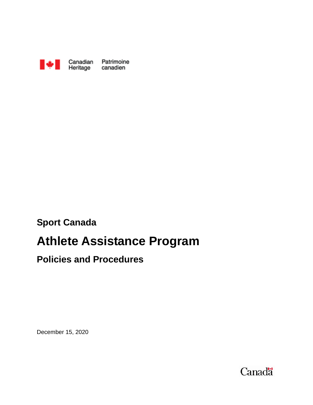

# **Sport Canada**

# **Athlete Assistance Program**

# **Policies and Procedures**

December 15, 2020

Canadä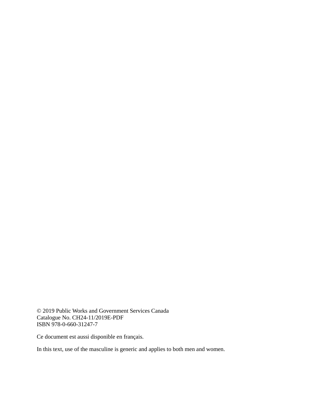© 2019 Public Works and Government Services Canada Catalogue No. CH24-11/2019E-PDF ISBN 978-0-660-31247-7

Ce document est aussi disponible en français.

In this text, use of the masculine is generic and applies to both men and women.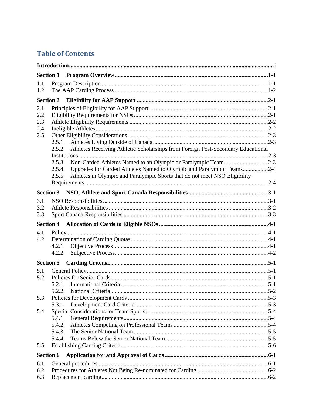## **Table of Contents**

| <b>Section 1</b>                |                                                    |                                                                                                                                                     |  |
|---------------------------------|----------------------------------------------------|-----------------------------------------------------------------------------------------------------------------------------------------------------|--|
| 1.1<br>1.2                      |                                                    |                                                                                                                                                     |  |
| <b>Section 2</b>                |                                                    |                                                                                                                                                     |  |
| 2.1<br>2.2<br>2.3<br>2.4<br>2.5 | 2.5.1<br>2.5.2<br>2.5.3                            | Athletes Receiving Athletic Scholarships from Foreign Post-Secondary Educational<br>Non-Carded Athletes Named to an Olympic or Paralympic Team2-3   |  |
|                                 | 2.5.4<br>2.5.5                                     | Upgrades for Carded Athletes Named to Olympic and Paralympic Teams2-4<br>Athletes in Olympic and Paralympic Sports that do not meet NSO Eligibility |  |
| <b>Section 3</b>                |                                                    |                                                                                                                                                     |  |
| 3.1<br>3.2<br>3.3               |                                                    |                                                                                                                                                     |  |
|                                 |                                                    |                                                                                                                                                     |  |
| 4.1<br>4.2                      | 4.2.1<br>4.2.2                                     |                                                                                                                                                     |  |
| <b>Section 5</b>                |                                                    |                                                                                                                                                     |  |
| 5.1<br>5.2<br>5.3<br>5.4<br>5.5 | 5.2.1<br>5.3.1<br>5.4.1<br>5.4.2<br>5.4.3<br>5.4.4 |                                                                                                                                                     |  |
| <b>Section 6</b>                |                                                    |                                                                                                                                                     |  |
| 6.1<br>6.2<br>6.3               |                                                    |                                                                                                                                                     |  |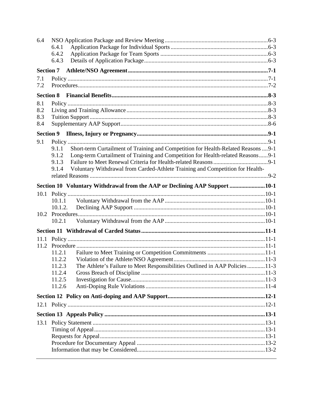| 6.4              |                  |                                                                                    |  |
|------------------|------------------|------------------------------------------------------------------------------------|--|
|                  | 6.4.1            |                                                                                    |  |
|                  | 6.4.2            |                                                                                    |  |
|                  | 6.4.3            |                                                                                    |  |
| <b>Section 7</b> |                  |                                                                                    |  |
| 7.1              |                  |                                                                                    |  |
| 7.2              |                  |                                                                                    |  |
| <b>Section 8</b> |                  |                                                                                    |  |
| 8.1              |                  |                                                                                    |  |
| 8.2              |                  |                                                                                    |  |
| 8.3              |                  |                                                                                    |  |
| 8.4              |                  |                                                                                    |  |
| <b>Section 9</b> |                  |                                                                                    |  |
| 9.1              |                  |                                                                                    |  |
|                  | 9.1.1            | Short-term Curtailment of Training and Competition for Health-Related Reasons  9-1 |  |
|                  | 9.1.2            | Long-term Curtailment of Training and Competition for Health-related Reasons9-1    |  |
|                  | 9.1.3            |                                                                                    |  |
|                  | 9.1.4            | Voluntary Withdrawal from Carded-Athlete Training and Competition for Health-      |  |
|                  |                  |                                                                                    |  |
|                  |                  | Section 10 Voluntary Withdrawal from the AAP or Declining AAP Support 10-1         |  |
| 10.1             |                  |                                                                                    |  |
|                  | 10.1.1           |                                                                                    |  |
|                  | 10.1.2.          |                                                                                    |  |
|                  |                  |                                                                                    |  |
|                  | 10.2.1           |                                                                                    |  |
|                  |                  |                                                                                    |  |
|                  |                  |                                                                                    |  |
| 11.2             |                  |                                                                                    |  |
|                  | 11.2.1           |                                                                                    |  |
|                  | 11.2.2           |                                                                                    |  |
|                  | 11.2.3           | The Athlete's Failure to Meet Responsibilities Outlined in AAP Policies 11-3       |  |
|                  | 11.2.4<br>11.2.5 |                                                                                    |  |
|                  | 11.2.6           |                                                                                    |  |
|                  |                  |                                                                                    |  |
|                  |                  |                                                                                    |  |
|                  |                  |                                                                                    |  |
|                  |                  |                                                                                    |  |
| 13.1             |                  |                                                                                    |  |
|                  |                  |                                                                                    |  |
|                  |                  |                                                                                    |  |
|                  |                  |                                                                                    |  |
|                  |                  |                                                                                    |  |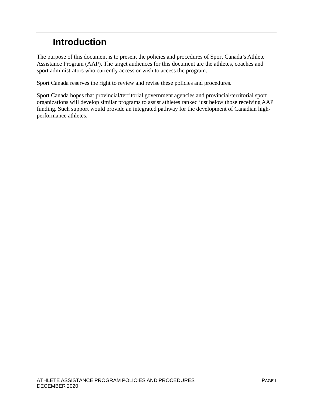# <span id="page-5-0"></span>**Introduction**

The purpose of this document is to present the policies and procedures of Sport Canada's Athlete Assistance Program (AAP). The target audiences for this document are the athletes, coaches and sport administrators who currently access or wish to access the program.

Sport Canada reserves the right to review and revise these policies and procedures.

Sport Canada hopes that provincial/territorial government agencies and provincial/territorial sport organizations will develop similar programs to assist athletes ranked just below those receiving AAP funding. Such support would provide an integrated pathway for the development of Canadian highperformance athletes.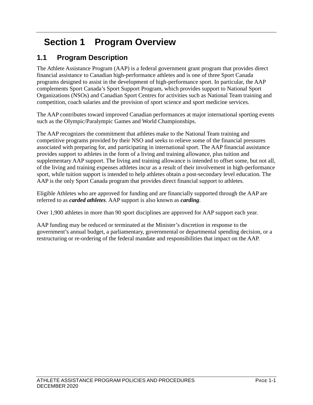# <span id="page-6-0"></span>**Section 1 Program Overview**

# <span id="page-6-1"></span>**1.1 Program Description**

The Athlete Assistance Program (AAP) is a federal government grant program that provides direct financial assistance to Canadian high-performance athletes and is one of three Sport Canada programs designed to assist in the development of high-performance sport. In particular, the AAP complements Sport Canada's Sport Support Program, which provides support to National Sport Organizations (NSOs) and Canadian Sport Centres for activities such as National Team training and competition, coach salaries and the provision of sport science and sport medicine services.

The AAP contributes toward improved Canadian performances at major international sporting events such as the Olympic/Paralympic Games and World Championships.

The AAP recognizes the commitment that athletes make to the National Team training and competitive programs provided by their NSO and seeks to relieve some of the financial pressures associated with preparing for, and participating in international sport. The AAP financial assistance provides support to athletes in the form of a living and training allowance, plus tuition and supplementary AAP support. The living and training allowance is intended to offset some, but not all, of the living and training expenses athletes incur as a result of their involvement in high-performance sport, while tuition support is intended to help athletes obtain a post-secondary level education. The AAP is the only Sport Canada program that provides direct financial support to athletes.

Eligible Athletes who are approved for funding and are financially supported through the AAP are referred to as *carded athletes*. AAP support is also known as *carding*.

Over 1,900 athletes in more than 90 sport disciplines are approved for AAP support each year.

AAP funding may be reduced or terminated at the Minister's discretion in response to the government's annual budget, a parliamentary, governmental or departmental spending decision, or a restructuring or re-ordering of the federal mandate and responsibilities that impact on the AAP.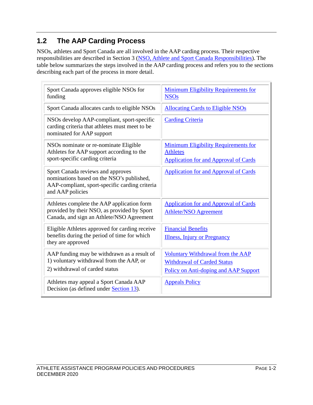# <span id="page-7-0"></span>**1.2 The AAP Carding Process**

NSOs, athletes and Sport Canada are all involved in the AAP carding process. Their respective responsibilities are described in Section 3 [\(NSO, Athlete and Sport Canada Responsibilities\)](#page-12-0). The table below summarizes the steps involved in the AAP carding process and refers you to the sections describing each part of the process in more detail.

| Sport Canada approves eligible NSOs for<br>funding                                                                                                   | <b>Minimum Eligibility Requirements for</b><br><b>NSOs</b>                                                       |
|------------------------------------------------------------------------------------------------------------------------------------------------------|------------------------------------------------------------------------------------------------------------------|
| Sport Canada allocates cards to eligible NSOs                                                                                                        | <b>Allocating Cards to Eligible NSOs</b>                                                                         |
| NSOs develop AAP-compliant, sport-specific<br>carding criteria that athletes must meet to be<br>nominated for AAP support                            | <b>Carding Criteria</b>                                                                                          |
| NSOs nominate or re-nominate Eligible<br>Athletes for AAP support according to the<br>sport-specific carding criteria                                | <b>Minimum Eligibility Requirements for</b><br><b>Athletes</b><br><b>Application for and Approval of Cards</b>   |
| Sport Canada reviews and approves<br>nominations based on the NSO's published,<br>AAP-compliant, sport-specific carding criteria<br>and AAP policies | <b>Application for and Approval of Cards</b>                                                                     |
| Athletes complete the AAP application form<br>provided by their NSO, as provided by Sport<br>Canada, and sign an Athlete/NSO Agreement               | <b>Application for and Approval of Cards</b><br><b>Athlete/NSO Agreement</b>                                     |
| Eligible Athletes approved for carding receive<br>benefits during the period of time for which<br>they are approved                                  | <b>Financial Benefits</b><br><b>Illness</b> , Injury or Pregnancy                                                |
| AAP funding may be withdrawn as a result of<br>1) voluntary withdrawal from the AAP, or<br>2) withdrawal of carded status                            | Voluntary Withdrawal from the AAP<br><b>Withdrawal of Carded Status</b><br>Policy on Anti-doping and AAP Support |
| Athletes may appeal a Sport Canada AAP<br>Decision (as defined under Section 13).                                                                    | <b>Appeals Policy</b>                                                                                            |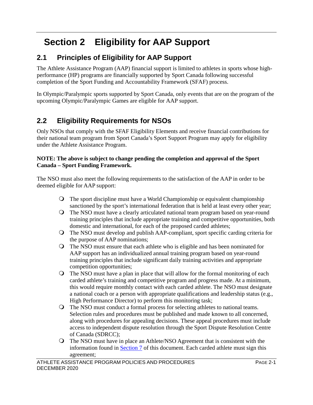# <span id="page-8-0"></span>**Section 2 Eligibility for AAP Support**

# <span id="page-8-1"></span>**2.1 Principles of Eligibility for AAP Support**

The Athlete Assistance Program (AAP) financial support is limited to athletes in sports whose highperformance (HP) programs are financially supported by Sport Canada following successful completion of the Sport Funding and Accountability Framework (SFAF) process.

In Olympic/Paralympic sports supported by Sport Canada, only events that are on the program of the upcoming Olympic/Paralympic Games are eligible for AAP support.

# <span id="page-8-2"></span>**2.2 Eligibility Requirements for NSOs**

Only NSOs that comply with the SFAF Eligibility Elements and receive financial contributions for their national team program from Sport Canada's Sport Support Program may apply for eligibility under the Athlete Assistance Program.

#### **NOTE: The above is subject to change pending the completion and approval of the Sport Canada – Sport Funding Framework.**

The NSO must also meet the following requirements to the satisfaction of the AAP in order to be deemed eligible for AAP support:

- The sport discipline must have a World Championship or equivalent championship sanctioned by the sport's international federation that is held at least every other year;
- The NSO must have a clearly articulated national team program based on year-round training principles that include appropriate training and competitive opportunities, both domestic and international, for each of the proposed carded athletes;
- The NSO must develop and publish AAP-compliant, sport specific carding criteria for the purpose of AAP nominations;
- The NSO must ensure that each athlete who is eligible and has been nominated for AAP support has an individualized annual training program based on year-round training principles that include significant daily training activities and appropriate competition opportunities;
- $\bigcirc$  The NSO must have a plan in place that will allow for the formal monitoring of each carded athlete's training and competitive program and progress made. At a minimum, this would require monthly contact with each carded athlete. The NSO must designate a national coach or a person with appropriate qualifications and leadership status (e.g., High Performance Director) to perform this monitoring task;
- The NSO must conduct a formal process for selecting athletes to national teams. Selection rules and procedures must be published and made known to all concerned, along with procedures for appealing decisions. These appeal procedures must include access to independent dispute resolution through the Sport Dispute Resolution Centre of Canada (SDRCC);
- The NSO must have in place an Athlete/NSO Agreement that is consistent with the information found in [Section 7](#page-27-0) of this document. Each carded athlete must sign this agreement;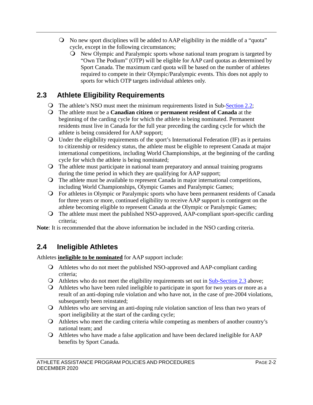- No new sport disciplines will be added to AAP eligibility in the middle of a "quota" cycle, except in the following circumstances;
	- New Olympic and Paralympic sports whose national team program is targeted by "Own The Podium" (OTP) will be eligible for AAP card quotas as determined by Sport Canada. The maximum card quota will be based on the number of athletes required to compete in their Olympic/Paralympic events. This does not apply to sports for which OTP targets individual athletes only.

# <span id="page-9-0"></span>**2.3 Athlete Eligibility Requirements**

- The athlete's NSO must meet the minimum requirements listed in Sub[-Section 2.2;](#page-8-2)
- The athlete must be a **Canadian citizen** or **permanent resident of Canada** at the beginning of the carding cycle for which the athlete is being nominated. Permanent residents must live in Canada for the full year preceding the carding cycle for which the athlete is being considered for AAP support;
- Under the eligibility requirements of the sport's International Federation (IF) as it pertains to citizenship or residency status, the athlete must be eligible to represent Canada at major international competitions, including World Championships, at the beginning of the carding cycle for which the athlete is being nominated;
- The athlete must participate in national team preparatory and annual training programs during the time period in which they are qualifying for AAP support;
- The athlete must be available to represent Canada in major international competitions, including World Championships, Olympic Games and Paralympic Games;
- For athletes in Olympic or Paralympic sports who have been permanent residents of Canada for three years or more, continued eligibility to receive AAP support is contingent on the athlete becoming eligible to represent Canada at the Olympic or Paralympic Games;
- The athlete must meet the published NSO-approved, AAP-compliant sport-specific carding criteria;

**Note**: It is recommended that the above information be included in the NSO carding criteria.

# <span id="page-9-1"></span>**2.4 Ineligible Athletes**

Athletes **ineligible to be nominated** for AAP support include:

- Athletes who do not meet the published NSO-approved and AAP-compliant carding criteria;
- $\Omega$  Athletes who do not meet the eligibility requirements set out in  $\frac{\text{Sub-Section 2.3}}{\text{2.3}}$  above;
- Athletes who have been ruled ineligible to participate in sport for two years or more as a result of an anti-doping rule violation and who have not, in the case of pre-2004 violations, subsequently been reinstated;
- Athletes who are serving an anti-doping rule violation sanction of less than two years of sport ineligibility at the start of the carding cycle;
- Athletes who meet the carding criteria while competing as members of another country's national team; and
- Athletes who have made a false application and have been declared ineligible for AAP benefits by Sport Canada.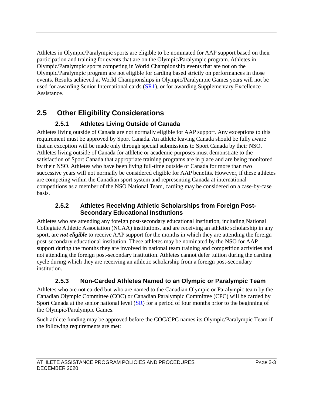Athletes in Olympic/Paralympic sports are eligible to be nominated for AAP support based on their participation and training for events that are on the Olympic/Paralympic program. Athletes in Olympic/Paralympic sports competing in World Championship events that are not on the Olympic/Paralympic program are not eligible for carding based strictly on performances in those events. Results achieved at World Championships in Olympic/Paralympic Games years will not be used for awarding Senior International cards  $(S<sub>R1</sub>)$ , or for awarding Supplementary Excellence Assistance.

# <span id="page-10-0"></span>**2.5 Other Eligibility Considerations**

## **2.5.1 Athletes Living Outside of Canada**

<span id="page-10-1"></span>Athletes living outside of Canada are not normally eligible for AAP support. Any exceptions to this requirement must be approved by Sport Canada. An athlete leaving Canada should be fully aware that an exception will be made only through special submissions to Sport Canada by their NSO. Athletes living outside of Canada for athletic or academic purposes must demonstrate to the satisfaction of Sport Canada that appropriate training programs are in place and are being monitored by their NSO. Athletes who have been living full-time outside of Canada for more than two successive years will not normally be considered eligible for AAP benefits. However, if these athletes are competing within the Canadian sport system and representing Canada at international competitions as a member of the NSO National Team, carding may be considered on a case-by-case basis.

#### **2.5.2 Athletes Receiving Athletic Scholarships from Foreign Post-Secondary Educational Institutions**

<span id="page-10-2"></span>Athletes who are attending any foreign post-secondary educational institution, including National Collegiate Athletic Association (NCAA) institutions, and are receiving an athletic scholarship in any sport, are *not eligible* to receive AAP support for the months in which they are attending the foreign post-secondary educational institution. These athletes may be nominated by the NSO for AAP support during the months they are involved in national team training and competition activities and not attending the foreign post-secondary institution. Athletes cannot defer tuition during the carding cycle during which they are receiving an athletic scholarship from a foreign post-secondary institution.

### **2.5.3 Non-Carded Athletes Named to an Olympic or Paralympic Team**

<span id="page-10-3"></span>Athletes who are not carded but who are named to the Canadian Olympic or Paralympic team by the Canadian Olympic Committee (COC) or Canadian Paralympic Committee (CPC) will be carded by Sport Canada at the senior national level  $(S<sub>R</sub>)$  for a period of four months prior to the beginning of the Olympic/Paralympic Games.

Such athlete funding may be approved before the COC/CPC names its Olympic/Paralympic Team if the following requirements are met: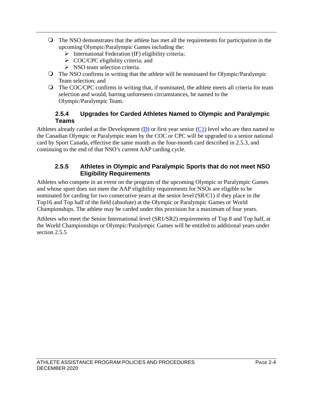- The NSO demonstrates that the athlete has met all the requirements for participation in the upcoming Olympic/Paralympic Games including the:
	- $\triangleright$  International Federation (IF) eligibility criteria;
	- $\geq$  COC/CPC eligibility criteria; and
	- $\triangleright$  NSO team selection criteria.
- The NSO confirms in writing that the athlete will be nominated for Olympic/Paralympic Team selection; and
- The COC/CPC confirms in writing that, if nominated, the athlete meets all criteria for team selection and would, barring unforeseen circumstances, be named to the Olympic/Paralympic Team.

#### **2.5.4 Upgrades for Carded Athletes Named to Olympic and Paralympic Teams**

<span id="page-11-0"></span>Athletes already carded at the Development  $(D)$  or first year senior  $(C1)$  level who are then named to the Canadian Olympic or Paralympic team by the COC or CPC will be upgraded to a senior national card by Sport Canada, effective the same month as the four-month card described in 2.5.3, and continuing to the end of that NSO's current AAP carding cycle.

#### **2.5.5 Athletes in Olympic and Paralympic Sports that do not meet NSO Eligibility Requirements**

<span id="page-11-1"></span>Athletes who compete in an event on the program of the upcoming Olympic or Paralympic Games and whose sport does not meet the AAP eligibility requirements for NSOs are eligible to be nominated for carding for two consecutive years at the senior level (SR/C1) if they place in the Top16 and Top half of the field (absolute) at the Olympic or Paralympic Games or World Championships. The athlete may be carded under this provision for a maximum of four years.

Athletes who meet the Senior International level (SR1/SR2) requirements of Top 8 and Top half, at the World Championships or Olympic/Paralympic Games will be entitled to additional years under section 2.5.5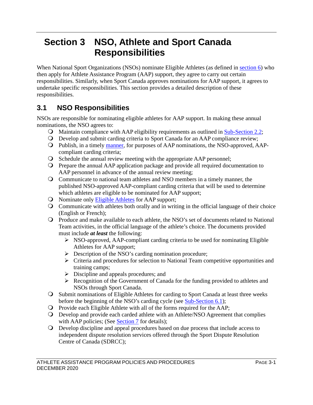# <span id="page-12-0"></span>**Section 3 NSO, Athlete and Sport Canada Responsibilities**

When National Sport Organizations (NSOs) nominate Eligible Athletes (as defined in [section 6\)](#page-23-0) who then apply for Athlete Assistance Program (AAP) support, they agree to carry out certain responsibilities. Similarly, when Sport Canada approves nominations for AAP support, it agrees to undertake specific responsibilities. This section provides a detailed description of these responsibilities.

# <span id="page-12-1"></span>**3.1 NSO Responsibilities**

NSOs are responsible for nominating eligible athletes for AAP support. In making these annual nominations, the NSO agrees to:

- Maintain compliance with AAP eligibility requirements as outlined in [Sub-Section 2.2;](#page-8-2)
- Develop and submit carding criteria to Sport Canada for an AAP compliance review;
- Publish, in a timely [manner,](#page-22-0) for purposes of AAP nominations, the NSO-approved, AAPcompliant carding criteria;
- Schedule the annual review meeting with the appropriate AAP personnel;
- Prepare the annual AAP application package and provide all required documentation to AAP personnel in advance of the annual review meeting;
- Communicate to national team athletes and NSO members in a timely manner, the published NSO-approved AAP-compliant carding criteria that will be used to determine which athletes are eligible to be nominated for AAP support;
- O Nominate only [Eligible Athletes](#page-23-1) for AAP support;
- Communicate with athletes both orally and in writing in the official language of their choice (English or French);
- Produce and make available to each athlete, the NSO's set of documents related to National Team activities, in the official language of the athlete's choice. The documents provided must include *at least* the following:
	- $\triangleright$  NSO-approved, AAP-compliant carding criteria to be used for nominating Eligible Athletes for AAP support;
	- $\triangleright$  Description of the NSO's carding nomination procedure;
	- $\triangleright$  Criteria and procedures for selection to National Team competitive opportunities and training camps;
	- $\triangleright$  Discipline and appeals procedures; and
	- Recognition of the Government of Canada for the funding provided to athletes and NSOs through Sport Canada.
- Submit nominations of Eligible Athletes for carding to Sport Canada at least three weeks before the beginning of the NSO's carding cycle (see [Sub-Section 6.1\)](#page-23-1);
- Provide each Eligible Athlete with all of the forms required for the AAP;
- Develop and provide each carded athlete with an Athlete/NSO Agreement that complies with AAP policies; (See **Section 7** for details);
- Develop discipline and appeal procedures based on due process that include access to independent dispute resolution services offered through the Sport Dispute Resolution Centre of Canada (SDRCC);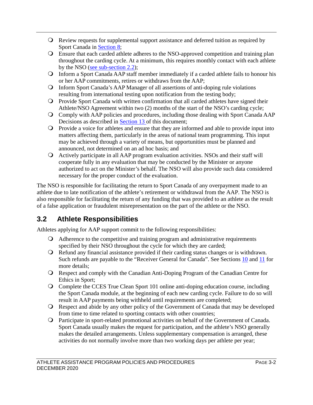- Review requests for supplemental support assistance and deferred tuition as required by Sport Canada in [Section 8;](#page-29-0)
- Ensure that each carded athlete adheres to the NSO-approved competition and training plan throughout the carding cycle. At a minimum, this requires monthly contact with each athlete by the NSO [\(see sub-section 2.2\)](#page-8-2);
- Inform a Sport Canada AAP staff member immediately if a carded athlete fails to honour his or her AAP commitments, retires or withdraws from the AAP;
- Inform Sport Canada's AAP Manager of all assertions of anti-doping rule violations resulting from international testing upon notification from the testing body;
- Provide Sport Canada with written confirmation that all carded athletes have signed their Athlete/NSO Agreement within two (2) months of the start of the NSO's carding cycle;
- Comply with AAP policies and procedures, including those dealing with Sport Canada AAP Decisions as described in [Section 13 o](#page-46-0)f this document;
- Provide a voice for athletes and ensure that they are informed and able to provide input into matters affecting them, particularly in the areas of national team programming. This input may be achieved through a variety of means, but opportunities must be planned and announced, not determined on an ad hoc basis; and
- Actively participate in all AAP program evaluation activities. NSOs and their staff will cooperate fully in any evaluation that may be conducted by the Minister or anyone authorized to act on the Minister's behalf. The NSO will also provide such data considered necessary for the proper conduct of the evaluation.

The NSO is responsible for facilitating the return to Sport Canada of any overpayment made to an athlete due to late notification of the athlete's retirement or withdrawal from the AAP. The NSO is also responsible for facilitating the return of any funding that was provided to an athlete as the result of a false application or fraudulent misrepresentation on the part of the athlete or the NSO.

# <span id="page-13-0"></span>**3.2 Athlete Responsibilities**

Athletes applying for AAP support commit to the following responsibilities:

- Adherence to the competitive and training program and administrative requirements specified by their NSO throughout the cycle for which they are carded;
- Refund any financial assistance provided if their carding status changes or is withdrawn. Such refunds are payable to the "Receiver General for Canada". See Sections [10](#page-39-0) and [11](#page-41-0) for more details;
- Respect and comply with the Canadian Anti-Doping Program of the Canadian Centre for Ethics in Sport;
- Complete the CCES True Clean Sport 101 online anti-doping education course, including the Sport Canada module, at the beginning of each new carding cycle. Failure to do so will result in AAP payments being withheld until requirements are completed;
- Respect and abide by any other policy of the Government of Canada that may be developed from time to time related to sporting contacts with other countries;
- Participate in sport-related promotional activities on behalf of the Government of Canada. Sport Canada usually makes the request for participation, and the athlete's NSO generally makes the detailed arrangements. Unless supplementary compensation is arranged, these activities do not normally involve more than two working days per athlete per year;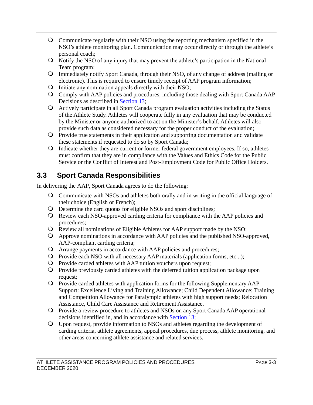- Communicate regularly with their NSO using the reporting mechanism specified in the NSO's athlete monitoring plan. Communication may occur directly or through the athlete's personal coach;
- Notify the NSO of any injury that may prevent the athlete's participation in the National Team program;
- Immediately notify Sport Canada, through their NSO, of any change of address (mailing or electronic). This is required to ensure timely receipt of AAP program information;
- Initiate any nomination appeals directly with their NSO;
- Comply with AAP policies and procedures, including those dealing with Sport Canada AAP Decisions as described in [Section 13;](#page-46-0)
- Actively participate in all Sport Canada program evaluation activities including the Status of the Athlete Study. Athletes will cooperate fully in any evaluation that may be conducted by the Minister or anyone authorized to act on the Minister's behalf. Athletes will also provide such data as considered necessary for the proper conduct of the evaluation;
- Provide true statements in their application and supporting documentation and validate these statements if requested to do so by Sport Canada;
- Indicate whether they are current or former federal government employees. If so, athletes must confirm that they are in compliance with the Values and Ethics Code for the Public Service or the Conflict of Interest and Post-Employment Code for Public Office Holders.

# <span id="page-14-0"></span>**3.3 Sport Canada Responsibilities**

In delivering the AAP, Sport Canada agrees to do the following:

- Communicate with NSOs and athletes both orally and in writing in the official language of their choice (English or French);
- Determine the card quotas for eligible NSOs and sport disciplines;
- Review each NSO-approved carding criteria for compliance with the AAP policies and procedures;
- Review all nominations of Eligible Athletes for AAP support made by the NSO;
- Approve nominations in accordance with AAP policies and the published NSO-approved, AAP-compliant carding criteria;
- Arrange payments in accordance with AAP policies and procedures;
- Provide each NSO with all necessary AAP materials (application forms, etc...);
- Provide carded athletes with AAP tuition vouchers upon request;
- Provide previously carded athletes with the deferred tuition application package upon request;
- Provide carded athletes with application forms for the following Supplementary AAP Support: Excellence Living and Training Allowance; Child Dependent Allowance; Training and Competition Allowance for Paralympic athletes with high support needs; Relocation Assistance, Child Care Assistance and Retirement Assistance.
- Provide a review procedure to athletes and NSOs on any Sport Canada AAP operational decisions identified in, and in accordance with [Section 13;](#page-46-0)
- Upon request, provide information to NSOs and athletes regarding the development of carding criteria, athlete agreements, appeal procedures, due process, athlete monitoring, and other areas concerning athlete assistance and related services.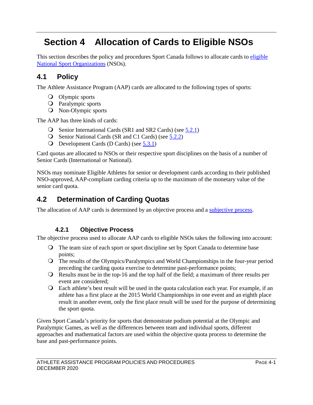# <span id="page-15-0"></span>**Section 4 Allocation of Cards to Eligible NSOs**

This section describes the policy and procedures Sport Canada follows to allocate cards to eligible [National Sport Organizations](#page-8-2) (NSOs).

# <span id="page-15-1"></span>**4.1 Policy**

The Athlete Assistance Program (AAP) cards are allocated to the following types of sports:

- Olympic sports
- Paralympic sports
- Non-Olympic sports

The AAP has three kinds of cards:

- Senior International Cards (SR1 and SR2 Cards) (see [5.2.1\)](#page-17-3)
- Senior National Cards (SR and C1 Cards) (see [5.2.2\)](#page-18-0)
- Development Cards (D Cards) (see [5.3.1\)](#page-19-1)

Card quotas are allocated to NSOs or their respective sport disciplines on the basis of a number of Senior Cards (International or National).

NSOs may nominate Eligible Athletes for senior or development cards according to their published NSO-approved, AAP-compliant carding criteria up to the maximum of the monetary value of the senior card quota.

## <span id="page-15-2"></span>**4.2 Determination of Carding Quotas**

The allocation of AAP cards is determined by an objective process and a [subjective process.](#page-16-0)

### **4.2.1 Objective Process**

<span id="page-15-3"></span>The objective process used to allocate AAP cards to eligible NSOs takes the following into account:

- The team size of each sport or sport discipline set by Sport Canada to determine base points;
- The results of the Olympics/Paralympics and World Championships in the four-year period preceding the carding quota exercise to determine past-performance points;
- Results must be in the top-16 and the top half of the field; a maximum of three results per event are considered;
- Each athlete's best result will be used in the quota calculation each year. For example, if an athlete has a first place at the 2015 World Championships in one event and an eighth place result in another event, only the first place result will be used for the purpose of determining the sport quota.

Given Sport Canada's priority for sports that demonstrate podium potential at the Olympic and Paralympic Games, as well as the differences between team and individual sports, different approaches and mathematical factors are used within the objective quota process to determine the base and past-performance points.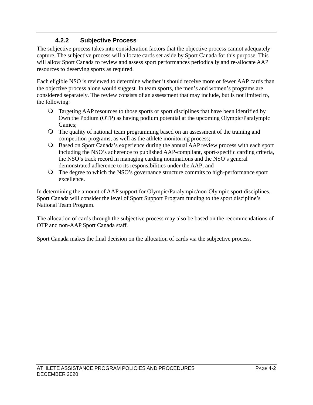### **4.2.2 Subjective Process**

<span id="page-16-0"></span>The subjective process takes into consideration factors that the objective process cannot adequately capture. The subjective process will allocate cards set aside by Sport Canada for this purpose. This will allow Sport Canada to review and assess sport performances periodically and re-allocate AAP resources to deserving sports as required.

Each eligible NSO is reviewed to determine whether it should receive more or fewer AAP cards than the objective process alone would suggest. In team sports, the men's and women's programs are considered separately. The review consists of an assessment that may include, but is not limited to, the following:

- Targeting AAP resources to those sports or sport disciplines that have been identified by Own the Podium (OTP) as having podium potential at the upcoming Olympic/Paralympic Games;
- The quality of national team programming based on an assessment of the training and competition programs, as well as the athlete monitoring process;
- Based on Sport Canada's experience during the annual AAP review process with each sport including the NSO's adherence to published AAP-compliant, sport-specific carding criteria, the NSO's track record in managing carding nominations and the NSO's general demonstrated adherence to its responsibilities under the AAP; and
- The degree to which the NSO's governance structure commits to high-performance sport excellence.

In determining the amount of AAP support for Olympic/Paralympic/non-Olympic sport disciplines, Sport Canada will consider the level of Sport Support Program funding to the sport discipline's National Team Program.

The allocation of cards through the subjective process may also be based on the recommendations of OTP and non-AAP Sport Canada staff.

Sport Canada makes the final decision on the allocation of cards via the subjective process.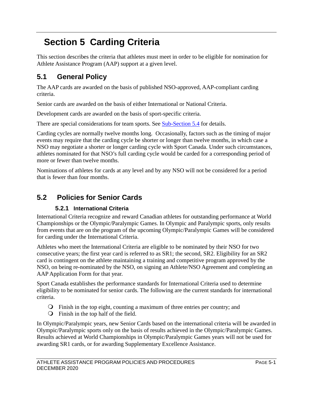# <span id="page-17-0"></span>**Section 5 Carding Criteria**

This section describes the criteria that athletes must meet in order to be eligible for nomination for Athlete Assistance Program (AAP) support at a given level.

# <span id="page-17-1"></span>**5.1 General Policy**

The AAP cards are awarded on the basis of published NSO-approved, AAP-compliant carding criteria.

Senior cards are awarded on the basis of either International or National Criteria.

Development cards are awarded on the basis of sport-specific criteria.

There are special considerations for team sports. See [Sub-Section 5.4](#page-20-0) for details.

Carding cycles are normally twelve months long. Occasionally, factors such as the timing of major events may require that the carding cycle be shorter or longer than twelve months, in which case a NSO may negotiate a shorter or longer carding cycle with Sport Canada. Under such circumstances, athletes nominated for that NSO's full carding cycle would be carded for a corresponding period of more or fewer than twelve months.

Nominations of athletes for cards at any level and by any NSO will not be considered for a period that is fewer than four months.

# <span id="page-17-2"></span>**5.2 Policies for Senior Cards**

### **5.2.1 International Criteria**

<span id="page-17-3"></span>International Criteria recognize and reward Canadian athletes for outstanding performance at World Championships or the Olympic/Paralympic Games. In Olympic and Paralympic sports, only results from events that are on the program of the upcoming Olympic/Paralympic Games will be considered for carding under the International Criteria.

Athletes who meet the International Criteria are eligible to be nominated by their NSO for two consecutive years; the first year card is referred to as SR1; the second, SR2. Eligibility for an SR2 card is contingent on the athlete maintaining a training and competitive program approved by the NSO, on being re-nominated by the NSO, on signing an Athlete/NSO Agreement and completing an AAP Application Form for that year.

Sport Canada establishes the performance standards for International Criteria used to determine eligibility to be nominated for senior cards. The following are the current standards for international criteria.

- Finish in the top eight, counting a maximum of three entries per country; and
- Finish in the top half of the field.

In Olympic/Paralympic years, new Senior Cards based on the international criteria will be awarded in Olympic/Paralympic sports only on the basis of results achieved in the Olympic/Paralympic Games. Results achieved at World Championships in Olympic/Paralympic Games years will not be used for awarding SR1 cards, or for awarding Supplementary Excellence Assistance.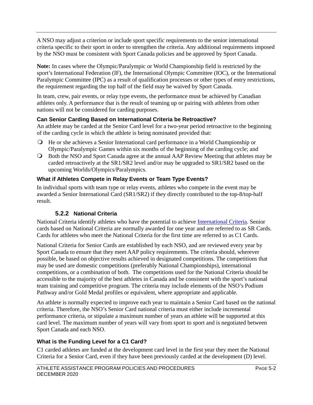A NSO may adjust a criterion or include sport specific requirements to the senior international criteria specific to their sport in order to strengthen the criteria. Any additional requirements imposed by the NSO must be consistent with Sport Canada policies and be approved by Sport Canada.

**Note:** In cases where the Olympic/Paralympic or World Championship field is restricted by the sport's International Federation (IF), the International Olympic Committee (IOC), or the International Paralympic Committee (IPC) as a result of qualification processes or other types of entry restrictions, the requirement regarding the top half of the field may be waived by Sport Canada.

In team, crew, pair events, or relay type events, the performance must be achieved by Canadian athletes only. A performance that is the result of teaming up or pairing with athletes from other nations will not be considered for carding purposes.

#### **Can Senior Carding Based on International Criteria be Retroactive?**

An athlete may be carded at the Senior Card level for a two-year period retroactive to the beginning of the carding cycle in which the athlete is being nominated provided that:

- He or she achieves a Senior International card performance in a World Championship or Olympic/Paralympic Games within six months of the beginning of the carding cycle; and
- Both the NSO and Sport Canada agree at the annual AAP Review Meeting that athletes may be carded retroactively at the SR1/SR2 level and/or may be upgraded to SR1/SR2 based on the upcoming Worlds/Olympics/Paralympics.

#### **What if Athletes Compete in Relay Events or Team Type Events?**

In individual sports with team type or relay events, athletes who compete in the event may be awarded a Senior International Card (SR1/SR2) if they directly contributed to the top-8/top-half result.

### **5.2.2 National Criteria**

<span id="page-18-0"></span>National Criteria identify athletes who have the potential to achieve [International Criteria.](#page-17-3) Senior cards based on National Criteria are normally awarded for one year and are referred to as SR Cards. Cards for athletes who meet the National Criteria for the first time are referred to as C1 Cards.

National Criteria for Senior Cards are established by each NSO, and are reviewed every year by Sport Canada to ensure that they meet AAP policy requirements. The criteria should, wherever possible, be based on objective results achieved in designated competitions. The competitions that may be used are domestic competitions (preferably National Championships), international competitions, or a combination of both. The competitions used for the National Criteria should be accessible to the majority of the best athletes in Canada and be consistent with the sport's national team training and competitive program. The criteria may include elements of the NSO's Podium Pathway and/or Gold Medal profiles or equivalent, where appropriate and applicable.

An athlete is normally expected to improve each year to maintain a Senior Card based on the national criteria. Therefore, the NSO's Senior Card national criteria must either include incremental performance criteria, or stipulate a maximum number of years an athlete will be supported at this card level. The maximum number of years will vary from sport to sport and is negotiated between Sport Canada and each NSO.

### <span id="page-18-1"></span>**What is the Funding Level for a C1 Card?**

C1 carded athletes are funded at the development card level in the first year they meet the National Criteria for a Senior Card, even if they have been previously carded at the development (D) level.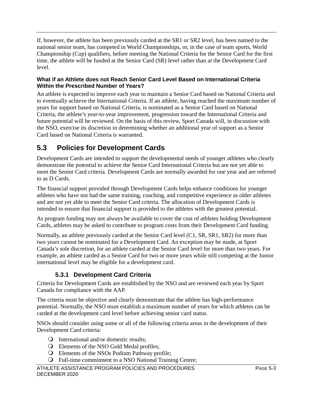If, however, the athlete has been previously carded at the SR1 or SR2 level, has been named to the national senior team, has competed in World Championships, or, in the case of team sports, World Championship (Cup) qualifiers, before meeting the National Criteria for the Senior Card for the first time, the athlete will be funded at the Senior Card (SR) level rather than at the Development Card level.

#### **What if an Athlete does not Reach Senior Card Level Based on International Criteria Within the Prescribed Number of Years?**

An athlete is expected to improve each year to maintain a Senior Card based on National Criteria and to eventually achieve the International Criteria. If an athlete, having reached the maximum number of years for support based on National Criteria, is nominated as a Senior Card based on National Criteria, the athlete's year-to-year improvement, progression toward the International Criteria and future potential will be reviewed. On the basis of this review, Sport Canada will, in discussion with the NSO, exercise its discretion in determining whether an additional year of support as a Senior Card based on National Criteria is warranted*.* 

## <span id="page-19-0"></span>**5.3 Policies for Development Cards**

Development Cards are intended to support the developmental needs of younger athletes who clearly demonstrate the potential to achieve the Senior Card International Criteria but are not yet able to meet the Senior Card criteria. Development Cards are normally awarded for one year and are referred to as D Cards.

The financial support provided through Development Cards helps enhance conditions for younger athletes who have not had the same training, coaching, and competitive experience as older athletes and are not yet able to meet the Senior Card criteria. The allocation of Development Cards is intended to ensure that financial support is provided to the athletes with the greatest potential.

As program funding may not always be available to cover the cost of athletes holding Development Cards, athletes may be asked to contribute to program costs from their Development Card funding.

Normally, an athlete previously carded at the Senior Card level (C1, SR, SR1, SR2) for more than two years cannot be nominated for a Development Card. An exception may be made, at Sport Canada's sole discretion, for an athlete carded at the Senior Card level for more than two years. For example, an athlete carded as a Senior Card for two or more years while still competing at the Junior international level may be eligible for a development card.

### **5.3.1 Development Card Criteria**

<span id="page-19-1"></span>Criteria for Development Cards are established by the NSO and are reviewed each year by Sport Canada for compliance with the AAP.

The criteria must be objective and clearly demonstrate that the athlete has high-performance potential. Normally, the NSO must establish a maximum number of years for which athletes can be carded at the development card level before achieving senior card status.

NSOs should consider using some or all of the following criteria areas in the development of their Development Card criteria:

- International and/or domestic results;
- Elements of the NSO Gold Medal profiles;
- Elements of the NSOs Podium Pathway profile;
- Full-time commitment to a NSO National Training Centre;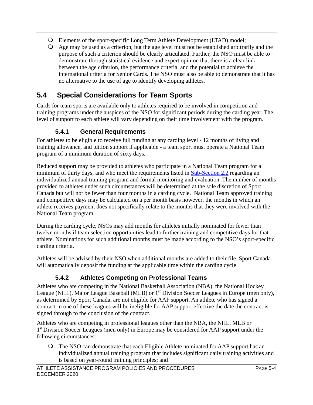- Elements of the sport-specific Long Term Athlete Development (LTAD) model;
- Age may be used as a criterion, but the age level must not be established arbitrarily and the purpose of such a criterion should be clearly articulated. Further, the NSO must be able to demonstrate through statistical evidence and expert opinion that there is a clear link between the age criterion, the performance criteria, and the potential to achieve the international criteria for Senior Cards. The NSO must also be able to demonstrate that it has no alternative to the use of age to identify developing athletes.

# <span id="page-20-0"></span>**5.4 Special Considerations for Team Sports**

Cards for team sports are available only to athletes required to be involved in competition and training programs under the auspices of the NSO for significant periods during the carding year. The level of support to each athlete will vary depending on their time involvement with the program.

## **5.4.1 General Requirements**

<span id="page-20-1"></span>For athletes to be eligible to receive full funding at any carding level - 12 months of living and training allowance, and tuition support if applicable - a team sport must operate a National Team program of a minimum duration of sixty days.

Reduced support may be provided to athletes who participate in a National Team program for a minimum of thirty days, and who meet the requirements listed in [Sub-Section 2.2](#page-8-2) regarding an individualized annual training program and formal monitoring and evaluation. The number of months provided to athletes under such circumstances will be determined at the sole discretion of Sport Canada but will not be fewer than four months in a carding cycle. National Team approved training and competitive days may be calculated on a per month basis however, the months in which an athlete receives payment does not specifically relate to the months that they were involved with the National Team program.

During the carding cycle, NSOs may add months for athletes initially nominated for fewer than twelve months if team selection opportunities lead to further training and competitive days for that athlete. Nominations for such additional months must be made according to the NSO's sport-specific carding criteria.

Athletes will be advised by their NSO when additional months are added to their file. Sport Canada will automatically deposit the funding at the applicable time within the carding cycle.

## **5.4.2 Athletes Competing on Professional Teams**

<span id="page-20-2"></span>Athletes who are competing in the National Basketball Association (NBA), the National Hockey League (NHL), Major League Baseball (MLB) or 1<sup>st</sup> Division Soccer Leagues in Europe (men only), as determined by Sport Canada, are not eligible for AAP support. An athlete who has signed a contract in one of these leagues will be ineligible for AAP support effective the date the contract is signed through to the conclusion of the contract.

Athletes who are competing in professional leagues other than the NBA, the NHL, MLB or 1<sup>st</sup> Division Soccer Leagues (men only) in Europe may be considered for AAP support under the following circumstances:

 The NSO can demonstrate that each Eligible Athlete nominated for AAP support has an individualized annual training program that includes significant daily training activities and is based on year-round training principles; and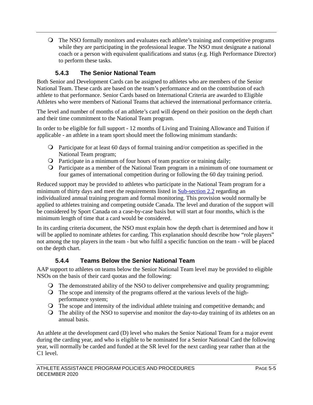The NSO formally monitors and evaluates each athlete's training and competitive programs while they are participating in the professional league. The NSO must designate a national coach or a person with equivalent qualifications and status (e.g. High Performance Director) to perform these tasks.

## **5.4.3 The Senior National Team**

<span id="page-21-0"></span>Both Senior and Development Cards can be assigned to athletes who are members of the Senior National Team. These cards are based on the team's performance and on the contribution of each athlete to that performance. Senior Cards based on International Criteria are awarded to Eligible Athletes who were members of National Teams that achieved the international performance criteria.

The level and number of months of an athlete's card will depend on their position on the depth chart and their time commitment to the National Team program.

In order to be eligible for full support - 12 months of Living and Training Allowance and Tuition if applicable - an athlete in a team sport should meet the following minimum standards:

- Participate for at least 60 days of formal training and/or competition as specified in the National Team program;
- Participate in a minimum of four hours of team practice or training daily;
- Participate as a member of the National Team program in a minimum of one tournament or four games of international competition during or following the 60 day training period.

Reduced support may be provided to athletes who participate in the National Team program for a minimum of thirty days and meet the requirements listed in [Sub-section 2.2](#page-8-2) regarding an individualized annual training program and formal monitoring. This provision would normally be applied to athletes training and competing outside Canada. The level and duration of the support will be considered by Sport Canada on a case-by-case basis but will start at four months, which is the minimum length of time that a card would be considered.

In its carding criteria document, the NSO must explain how the depth chart is determined and how it will be applied to nominate athletes for carding. This explanation should describe how "role players" not among the top players in the team - but who fulfil a specific function on the team - will be placed on the depth chart.

### **5.4.4 Teams Below the Senior National Team**

<span id="page-21-1"></span>AAP support to athletes on teams below the Senior National Team level may be provided to eligible NSOs on the basis of their card quotas and the following:

- The demonstrated ability of the NSO to deliver comprehensive and quality programming;
- The scope and intensity of the programs offered at the various levels of the highperformance system;
- The scope and intensity of the individual athlete training and competitive demands; and
- The ability of the NSO to supervise and monitor the day-to-day training of its athletes on an annual basis.

An athlete at the development card (D) level who makes the Senior National Team for a major event during the carding year, and who is eligible to be nominated for a Senior National Card the following year, will normally be carded and funded at the SR level for the next carding year rather than at the C1 level.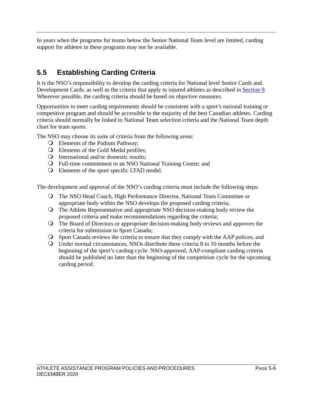In years when the programs for teams below the Senior National Team level are limited, carding support for athletes in these programs may not be available.

# <span id="page-22-0"></span>**5.5 Establishing Carding Criteria**

It is the NSO's responsibility to develop the carding criteria for National level Senior Cards and Development Cards, as well as the criteria that apply to injured athletes as described in [Section 9.](#page-37-0) Wherever possible, the carding criteria should be based on objective measures.

Opportunities to meet carding requirements should be consistent with a sport's national training or competitive program and should be accessible to the majority of the best Canadian athletes. Carding criteria should normally be linked to National Team selection criteria and the National Team depth chart for team sports.

The NSO may choose its suite of criteria from the following areas:

- Elements of the Podium Pathway;
- Elements of the Gold Medal profiles;
- International and/or domestic results;
- Full-time commitment to an NSO National Training Centre; and
- Elements of the sport specific LTAD model.

The development and approval of the NSO's carding criteria must include the following steps:

- The NSO Head Coach, High Performance Director, National Team Committee or appropriate body within the NSO develops the proposed carding criteria;
- The Athlete Representative and appropriate NSO decision-making body review the proposed criteria and make recommendations regarding the criteria;
- The Board of Directors or appropriate decision-making body reviews and approves the criteria for submission to Sport Canada;
- Sport Canada reviews the criteria to ensure that they comply with the AAP polices; and
- Under normal circumstances, NSOs distribute these criteria 8 to 10 months before the beginning of the sport's carding cycle. NSO-approved, AAP-compliant carding criteria should be published no later than the beginning of the competition cycle for the upcoming carding period.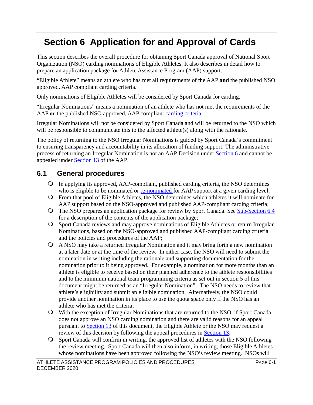# <span id="page-23-0"></span>**Section 6 Application for and Approval of Cards**

This section describes the overall procedure for obtaining Sport Canada approval of National Sport Organization (NSO) carding nominations of Eligible Athletes. It also describes in detail how to prepare an application package for Athlete Assistance Program (AAP) support.

"Eligible Athlete" means an athlete who has met all requirements of the AAP **and** the published NSO approved, AAP compliant carding criteria.

Only nominations of Eligible Athletes will be considered by Sport Canada for carding.

"Irregular Nominations" means a nomination of an athlete who has not met the requirements of the AAP **or** the published NSO approved, AAP compliant [carding criteria.](#page-22-0)

Irregular Nominations will not be considered by Sport Canada and will be returned to the NSO which will be responsible to communicate this to the affected athlete(s) along with the rationale.

The policy of returning to the NSO Irregular Nominations is guided by Sport Canada's commitment to ensuring transparency and accountability in its allocation of funding support. The administrative process of returning an Irregular Nomination is not an AAP Decision under [Section 6](#page-23-0) and cannot be appealed under [Section 13](#page-46-0) of the AAP.

## <span id="page-23-1"></span>**6.1 General procedures**

- In applying its approved, AAP-compliant, published carding criteria, the NSO determines who is eligible to be nominated or [re-nominated f](#page-24-2)or AAP support at a given carding level;
- From that pool of Eligible Athletes, the NSO determines which athletes it will nominate for AAP support based on the NSO-approved and published AAP-compliant carding criteria;
- Q The NSO prepares an application package for review by Sport Canada. See [Sub-Section 6.4](#page-25-4) for a description of the contents of the application package;
- Sport Canada reviews and may approve nominations of Eligible Athletes or return Irregular Nominations, based on the NSO-approved and published AAP-compliant carding criteria and the policies and procedures of the AAP;
- A NSO may take a returned Irregular Nomination and it may bring forth a new nomination at a later date or at the time of the review. In either case, the NSO will need to submit the nomination in writing including the rationale and supporting documentation for the nomination prior to it being approved. For example, a nomination for more months than an athlete is eligible to receive based on their planned adherence to the athlete responsibilities and to the minimum national team programming criteria as set out in section 5 of this document might be returned as an "Irregular Nomination". The NSO needs to review that athlete's eligibility and submit an eligible nomination. Alternatively, the NSO could provide another nomination in its place to use the quota space only if the NSO has an athlete who has met the criteria;
- With the exception of Irregular Nominations that are returned to the NSO, if Sport Canada does not approve an NSO carding nomination and there are valid reasons for an appeal pursuant to [Section 13](#page-46-0) of this document, the Eligible Athlete or the NSO may request a review of this decision by following the appeal procedures in [Section 13;](#page-46-0)
- Sport Canada will confirm in writing, the approved list of athletes with the NSO following the review meeting. Sport Canada will then also inform, in writing, those Eligible Athletes whose nominations have been approved following the NSO's review meeting. NSOs will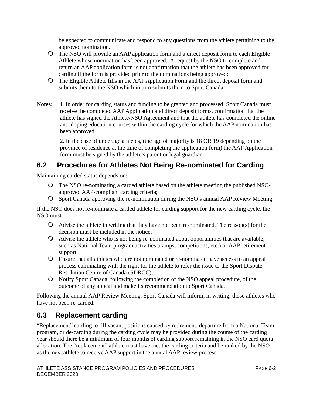be expected to communicate and respond to any questions from the athlete pertaining to the approved nomination.

- The NSO will provide an AAP application form and a direct deposit form to each Eligible Athlete whose nomination has been approved. A request by the NSO to complete and return an AAP application form is not confirmation that the athlete has been approved for carding if the form is provided prior to the nominations being approved;
- The Eligible Athlete fills in the AAP Application Form and the direct deposit form and submits them to the NSO which in turn submits them to Sport Canada;
- **Notes:** 1. In order for carding status and funding to be granted and processed, Sport Canada must receive the completed AAP Application and direct deposit forms, confirmation that the athlete has signed the Athlete/NSO Agreement and that the athlete has completed the online anti-doping education courses within the carding cycle for which the AAP nomination has been approved.

 2. In the case of underage athletes, (the age of majority is 18 OR 19 depending on the province of residence at the time of completing the application form) the AAP Application form must be signed by the athlete's parent or legal guardian.

## <span id="page-24-0"></span>**6.2 Procedures for Athletes Not Being Re-nominated for Carding**

<span id="page-24-2"></span>Maintaining carded status depends on:

- The NSO re-nominating a carded athlete based on the athlete meeting the published NSOapproved AAP-compliant carding criteria;
- Sport Canada approving the re-nomination during the NSO's annual AAP Review Meeting.

If the NSO does not re-nominate a carded athlete for carding support for the new carding cycle, the NSO must:

- Advise the athlete in writing that they have not been re-nominated. The reason(s) for the decision must be included in the notice;
- Advise the athlete who is not being re-nominated about opportunities that are available, such as National Team program activities (camps, competitions, etc.) or AAP retirement support;
- Ensure that all athletes who are not nominated or re-nominated have access to an appeal process culminating with the right for the athlete to refer the issue to the Sport Dispute Resolution Centre of Canada (SDRCC);
- Notify Sport Canada, following the completion of the NSO appeal procedure, of the outcome of any appeal and make its recommendation to Sport Canada.

Following the annual AAP Review Meeting, Sport Canada will inform, in writing, those athletes who have not been re-carded.

# <span id="page-24-1"></span>**6.3 Replacement carding**

"Replacement" carding to fill vacant positions caused by retirement, departure from a National Team program, or de-carding during the carding cycle may be provided during the course of the carding year should there be a minimum of four months of carding support remaining in the NSO card quota allocation. The "replacement" athlete must have met the carding criteria and be ranked by the NSO as the next athlete to receive AAP support in the annual AAP review process.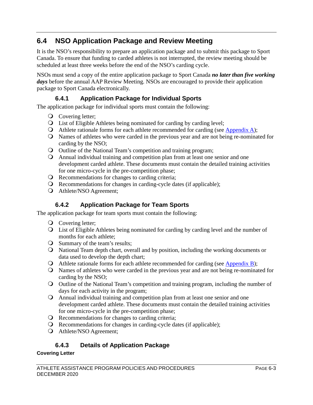## <span id="page-25-4"></span><span id="page-25-0"></span>**6.4 NSO Application Package and Review Meeting**

It is the NSO's responsibility to prepare an application package and to submit this package to Sport Canada. To ensure that funding to carded athletes is not interrupted, the review meeting should be scheduled at least three weeks before the end of the NSO's carding cycle.

NSOs must send a copy of the entire application package to Sport Canada *no later than five working days* before the annual AAP Review Meeting. NSOs are encouraged to provide their application package to Sport Canada electronically.

## **6.4.1 Application Package for Individual Sports**

<span id="page-25-1"></span>The application package for individual sports must contain the following:

- **O** Covering letter;
- List of Eligible Athletes being nominated for carding by carding level;
- Athlete rationale forms for each athlete recommended for carding (see [Appendix A\)](#page-49-0);
- Names of athletes who were carded in the previous year and are not being re-nominated for carding by the NSO;
- Outline of the National Team's competition and training program;
- Annual individual training and competition plan from at least one senior and one development carded athlete. These documents must contain the detailed training activities for one micro-cycle in the pre-competition phase;
- Q Recommendations for changes to carding criteria;
- Recommendations for changes in carding-cycle dates (if applicable);
- Athlete/NSO Agreement;

### **6.4.2 Application Package for Team Sports**

<span id="page-25-2"></span>The application package for team sports must contain the following:

- **Q** Covering letter;
- List of Eligible Athletes being nominated for carding by carding level and the number of months for each athlete;
- Summary of the team's results;
- National Team depth chart, overall and by position, including the working documents or data used to develop the depth chart;
- Athlete rationale forms for each athlete recommended for carding (see [Appendix B\)](#page-50-0);
- Names of athletes who were carded in the previous year and are not being re-nominated for carding by the NSO;
- Outline of the National Team's competition and training program, including the number of days for each activity in the program;
- Annual individual training and competition plan from at least one senior and one development carded athlete. These documents must contain the detailed training activities for one micro-cycle in the pre-competition phase;
- Q Recommendations for changes to carding criteria;
- Recommendations for changes in carding-cycle dates (if applicable);
- Athlete/NSO Agreement;

### **6.4.3 Details of Application Package**

#### <span id="page-25-3"></span>**Covering Letter**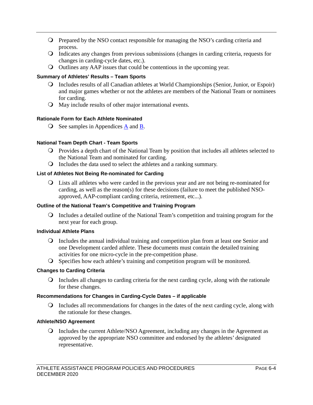- Prepared by the NSO contact responsible for managing the NSO's carding criteria and process.
- Indicates any changes from previous submissions (changes in carding criteria, requests for changes in carding-cycle dates, etc.).
- Outlines any AAP issues that could be contentious in the upcoming year.

#### **Summary of Athletes' Results – Team Sports**

- Includes results of all Canadian athletes at World Championships (Senior, Junior, or Espoir) and major games whether or not the athletes are members of the National Team or nominees for carding.
- May include results of other major international events.

#### **Rationale Form for Each Athlete Nominated**

 $\overline{O}$  See samples in Appendices  $\underline{A}$  and  $\underline{B}$ .

#### **National Team Depth Chart - Team Sports**

- Provides a depth chart of the National Team by position that includes all athletes selected to the National Team and nominated for carding.
- Includes the data used to select the athletes and a ranking summary.

#### **List of Athletes Not Being Re-nominated for Carding**

 Lists all athletes who were carded in the previous year and are not being re-nominated for carding, as well as the reason(s) for these decisions (failure to meet the published NSOapproved, AAP-compliant carding criteria, retirement, etc...).

#### **Outline of the National Team's Competitive and Training Program**

 Includes a detailed outline of the National Team's competition and training program for the next year for each group.

#### **Individual Athlete Plans**

- Includes the annual individual training and competition plan from at least one Senior and one Development carded athlete. These documents must contain the detailed training activities for one micro-cycle in the pre-competition phase.
- Specifies how each athlete's training and competition program will be monitored.

#### **Changes to Carding Criteria**

 Includes all changes to carding criteria for the next carding cycle, along with the rationale for these changes.

#### **Recommendations for Changes in Carding-Cycle Dates – if applicable**

 Includes all recommendations for changes in the dates of the next carding cycle, along with the rationale for these changes.

#### **Athlete/NSO Agreement**

 Includes the current Athlete/NSO Agreement, including any changes in the Agreement as approved by the appropriate NSO committee and endorsed by the athletes' designated representative.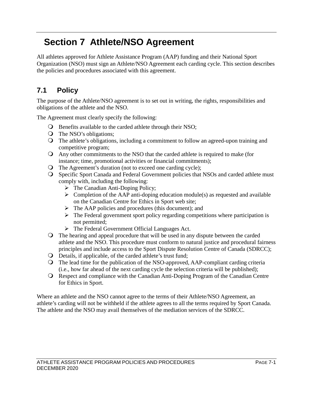# <span id="page-27-0"></span>**Section 7 Athlete/NSO Agreement**

All athletes approved for Athlete Assistance Program (AAP) funding and their National Sport Organization (NSO) must sign an Athlete/NSO Agreement each carding cycle. This section describes the policies and procedures associated with this agreement.

# <span id="page-27-1"></span>**7.1 Policy**

The purpose of the Athlete/NSO agreement is to set out in writing, the rights, responsibilities and obligations of the athlete and the NSO.

The Agreement must clearly specify the following:

- **O** Benefits available to the carded athlete through their NSO;
- The NSO's obligations;
- The athlete's obligations, including a commitment to follow an agreed-upon training and competitive program;
- Any other commitments to the NSO that the carded athlete is required to make (for instance; time, promotional activities or financial commitments);
- The Agreement's duration (not to exceed one carding cycle);
- Specific Sport Canada and Federal Government policies that NSOs and carded athlete must comply with, including the following:
	- $\triangleright$  The Canadian Anti-Doping Policy;
	- $\triangleright$  Completion of the AAP anti-doping education module(s) as requested and available on the Canadian Centre for Ethics in Sport web site;
	- $\triangleright$  The AAP policies and procedures (this document); and
	- $\triangleright$  The Federal government sport policy regarding competitions where participation is not permitted;
	- The Federal Government Official Languages Act.
- The hearing and appeal procedure that will be used in any dispute between the carded athlete and the NSO. This procedure must conform to natural justice and procedural fairness principles and include access to the Sport Dispute Resolution Centre of Canada (SDRCC);
- Details, if applicable, of the carded athlete's trust fund;
- The lead time for the publication of the NSO-approved, AAP-compliant carding criteria (i.e., how far ahead of the next carding cycle the selection criteria will be published);
- Respect and compliance with the Canadian Anti-Doping Program of the Canadian Centre for Ethics in Sport.

Where an athlete and the NSO cannot agree to the terms of their Athlete/NSO Agreement, an athlete's carding will not be withheld if the athlete agrees to all the terms required by Sport Canada. The athlete and the NSO may avail themselves of the mediation services of the SDRCC.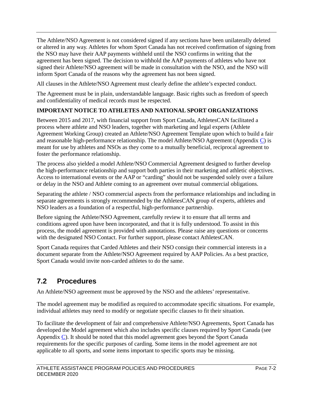The Athlete/NSO Agreement is not considered signed if any sections have been unilaterally deleted or altered in any way. Athletes for whom Sport Canada has not received confirmation of signing from the NSO may have their AAP payments withheld until the NSO confirms in writing that the agreement has been signed. The decision to withhold the AAP payments of athletes who have not signed their Athlete/NSO agreement will be made in consultation with the NSO, and the NSO will inform Sport Canada of the reasons why the agreement has not been signed.

All clauses in the Athlete/NSO Agreement must clearly define the athlete's expected conduct.

The Agreement must be in plain, understandable language. Basic rights such as freedom of speech and confidentiality of medical records must be respected.

#### **IMPORTANT NOTICE TO ATHLETES AND NATIONAL SPORT ORGANIZATIONS**

Between 2015 and 2017, with financial support from Sport Canada, AthletesCAN facilitated a process where athlete and NSO leaders, together with marketing and legal experts (Athlete Agreement Working Group) created an Athlete/NSO Agreement Template upon which to build a fair and reasonable high-performance relationship. The model Athlete/NSO Agreement (Appendix  $\overline{C}$ ) is meant for use by athletes and NSOs as they come to a mutually beneficial, reciprocal agreement to foster the performance relationship.

The process also yielded a model Athlete/NSO Commercial Agreement designed to further develop the high-performance relationship and support both parties in their marketing and athletic objectives. Access to international events or the AAP or "carding" should not be suspended solely over a failure or delay in the NSO and Athlete coming to an agreement over mutual commercial obligations.

Separating the athlete / NSO commercial aspects from the performance relationships and including in separate agreements is strongly recommended by the AthletesCAN group of experts, athletes and NSO leaders as a foundation of a respectful, high-performance partnership.

Before signing the Athlete/NSO Agreement, carefully review it to ensure that all terms and conditions agreed upon have been incorporated, and that it is fully understood. To assist in this process, the model agreement is provided with annotations. Please raise any questions or concerns with the designated NSO Contact. For further support, please contact AthletesCAN.

Sport Canada requires that Carded Athletes and their NSO consign their commercial interests in a document separate from the Athlete/NSO Agreement required by AAP Policies. As a best practice, Sport Canada would invite non-carded athletes to do the same.

## <span id="page-28-0"></span>**7.2 Procedures**

An Athlete/NSO agreement must be approved by the NSO and the athletes' representative.

The model agreement may be modified as required to accommodate specific situations. For example, individual athletes may need to modify or negotiate specific clauses to fit their situation.

<span id="page-28-1"></span>To facilitate the development of fair and comprehensive Athlete/NSO Agreements, Sport Canada has developed the Model agreement which also includes specific clauses required by Sport Canada (see Appendix [C\)](#page-51-0). It should be noted that this model agreement goes beyond the Sport Canada requirements for the specific purposes of carding. Some items in the model agreement are not applicable to all sports, and some items important to specific sports may be missing.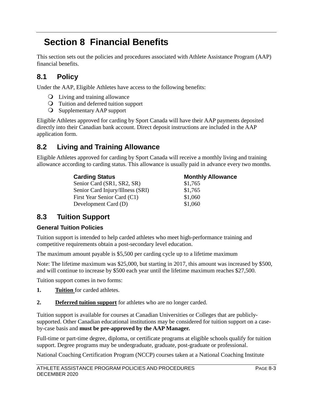# <span id="page-29-0"></span>**Section 8 Financial Benefits**

This section sets out the policies and procedures associated with Athlete Assistance Program (AAP) financial benefits.

# <span id="page-29-1"></span>**8.1 Policy**

Under the AAP, Eligible Athletes have access to the following benefits:

- Living and training allowance
- Tuition and deferred tuition support
- Supplementary AAP support

Eligible Athletes approved for carding by Sport Canada will have their AAP payments deposited directly into their Canadian bank account. Direct deposit instructions are included in the AAP application form.

## <span id="page-29-2"></span>**8.2 Living and Training Allowance**

Eligible Athletes approved for carding by Sport Canada will receive a monthly living and training allowance according to carding status. This allowance is usually paid in advance every two months.

| <b>Carding Status</b>            | <b>Monthly Allowance</b> |  |  |
|----------------------------------|--------------------------|--|--|
| Senior Card (SR1, SR2, SR)       | \$1,765                  |  |  |
| Senior Card Injury/Illness (SRI) | \$1,765                  |  |  |
| First Year Senior Card (C1)      | \$1,060                  |  |  |
| Development Card (D)             | \$1,060                  |  |  |

## <span id="page-29-3"></span>**8.3 Tuition Support**

#### **General Tuition Policies**

Tuition support is intended to help carded athletes who meet high-performance training and competitive requirements obtain a post-secondary level education.

The maximum amount payable is \$5,500 per carding cycle up to a lifetime maximum

Note: The lifetime maximum was \$25,000, but starting in 2017, this amount was increased by \$500, and will continue to increase by \$500 each year until the lifetime maximum reaches \$27,500.

Tuition support comes in two forms:

- **1. Tuition** for carded athletes.
- **2. Deferred tuition support** for athletes who are no longer carded.

Tuition support is available for courses at Canadian Universities or Colleges that are publiclysupported. Other Canadian educational institutions may be considered for tuition support on a caseby-case basis and **must be pre-approved by the AAP Manager.** 

Full-time or part-time degree, diploma, or certificate programs at eligible schools qualify for tuition support. Degree programs may be undergraduate, graduate, post-graduate or professional.

National Coaching Certification Program (NCCP) courses taken at a National Coaching Institute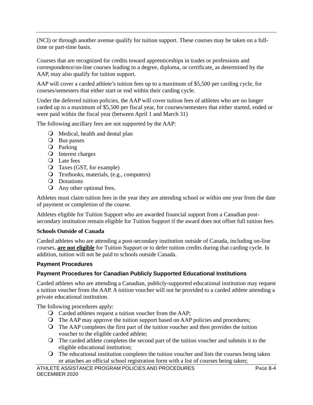(NCI) or through another avenue qualify for tuition support. These courses may be taken on a fulltime or part-time basis.

Courses that are recognized for credits toward apprenticeships in trades or professions and correspondence/on-line courses leading to a degree, diploma, or certificate, as determined by the AAP, may also qualify for tuition support.

AAP will cover a carded athlete's tuition fees up to a maximum of \$5,500 per carding cycle, for courses/semesters that either start or end within their carding cycle.

Under the deferred tuition policies, the AAP will cover tuition fees of athletes who are no longer carded up to a maximum of \$5,500 per fiscal year, for courses/semesters that either started, ended or were paid within the fiscal year (between April 1 and March 31)

The following ancillary fees are not supported by the AAP:

- Medical, health and dental plan
- **O** Bus passes
- Q Parking
- Q Interest charges
- Q Late fees
- Taxes (GST, for example)
- Textbooks, materials, (e.g., computers)
- Q Donations
- Any other optional fees.

Athletes must claim tuition fees in the year they are attending school or within one year from the date of payment or completion of the course.

Athletes eligible for Tuition Support who are awarded financial support from a Canadian postsecondary institution remain eligible for Tuition Support if the award does not offset full tuition fees.

#### **Schools Outside of Canada**

Carded athletes who are attending a post-secondary institution outside of Canada, including on-line courses, **are not eligible** for Tuition Support or to defer tuition credits during that carding cycle. In addition, tuition will not be paid to schools outside Canada.

#### **Payment Procedures**

#### **Payment Procedures for Canadian Publicly Supported Educational Institutions**

Carded athletes who are attending a Canadian, publicly-supported educational institution may request a tuition voucher from the AAP. A tuition voucher will not be provided to a carded athlete attending a private educational institution.

The following procedures apply:

- Carded athletes request a tuition voucher from the AAP;
- The AAP may approve the tuition support based on AAP policies and procedures;
- The AAP completes the first part of the tuition voucher and then provides the tuition voucher to the eligible carded athlete;
- The carded athlete completes the second part of the tuition voucher and submits it to the eligible educational institution;
- The educational institution completes the tuition voucher and lists the courses being taken or attaches an official school registration form with a list of courses being taken;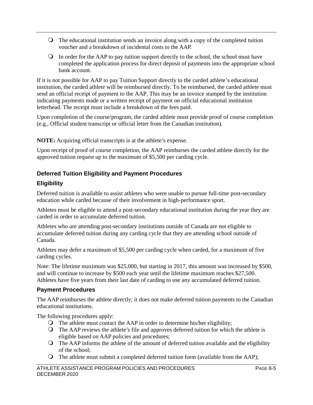- The educational institution sends an invoice along with a copy of the completed tuition voucher and a breakdown of incidental costs to the AAP.
- $\Omega$  In order for the AAP to pay tuition support directly to the school, the school must have completed the application process for direct deposit of payments into the appropriate school bank account.

If it is not possible for AAP to pay Tuition Support directly to the carded athlete's educational institution, the carded athlete will be reimbursed directly. To be reimbursed, the carded athlete must send an official receipt of payment to the AAP. This may be an invoice stamped by the institution indicating payments made or a written receipt of payment on official educational institution letterhead. The receipt must include a breakdown of the fees paid.

Upon completion of the course/program, the carded athlete must provide proof of course completion (e.g., Official student transcript or official letter from the Canadian institution).

**NOTE:** Acquiring official transcripts is at the athlete's expense.

Upon receipt of proof of course completion, the AAP reimburses the carded athlete directly for the approved tuition request up to the maximum of \$5,500 per carding cycle.

### **Deferred Tuition Eligibility and Payment Procedures**

### **Eligibility**

Deferred tuition is available to assist athletes who were unable to pursue full-time post-secondary education while carded because of their involvement in high-performance sport.

Athletes must be eligible to attend a post-secondary educational institution during the year they are carded in order to accumulate deferred tuition.

Athletes who are attending post-secondary institutions outside of Canada are not eligible to accumulate deferred tuition during any carding cycle that they are attending school outside of Canada.

Athletes may defer a maximum of \$5,500 per carding cycle when carded, for a maximum of five carding cycles.

Note: The lifetime maximum was \$25,000, but starting in 2017, this amount was increased by \$500, and will continue to increase by \$500 each year until the lifetime maximum reaches \$27,500. Athletes have five years from their last date of carding to use any accumulated deferred tuition.

### **Payment Procedures**

The AAP reimburses the athlete directly; it does not make deferred tuition payments to the Canadian educational institutions.

The following procedures apply:

- The athlete must contact the AAP in order to determine his/her eligibility;
- The AAP reviews the athlete's file and approves deferred tuition for which the athlete is eligible based on AAP policies and procedures;
- The AAP informs the athlete of the amount of deferred tuition available and the eligibility of the school;
- The athlete must submit a completed deferred tuition form (available from the AAP);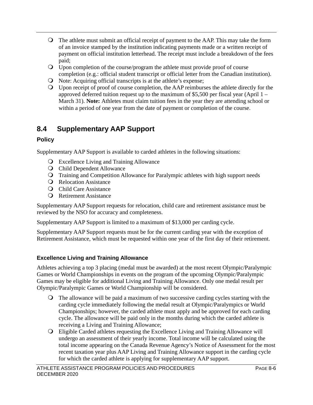- The athlete must submit an official receipt of payment to the AAP. This may take the form of an invoice stamped by the institution indicating payments made or a written receipt of payment on official institution letterhead. The receipt must include a breakdown of the fees paid;
- Upon completion of the course/program the athlete must provide proof of course completion (e.g.: official student transcript or official letter from the Canadian institution).
- O Note: Acquiring official transcripts is at the athlete's expense;
- Upon receipt of proof of course completion, the AAP reimburses the athlete directly for the approved deferred tuition request up to the maximum of \$5,500 per fiscal year (April  $1 -$ March 31). **Note:** Athletes must claim tuition fees in the year they are attending school or within a period of one year from the date of payment or completion of the course.

# <span id="page-32-0"></span>**8.4 Supplementary AAP Support**

### **Policy**

Supplementary AAP Support is available to carded athletes in the following situations:

- Excellence Living and Training Allowance
- **Q** Child Dependent Allowance
- Training and Competition Allowance for Paralympic athletes with high support needs
- **Q** Relocation Assistance
- **Q** Child Care Assistance
- Retirement Assistance

Supplementary AAP Support requests for relocation, child care and retirement assistance must be reviewed by the NSO for accuracy and completeness.

Supplementary AAP Support is limited to a maximum of \$13,000 per carding cycle.

Supplementary AAP Support requests must be for the current carding year with the exception of Retirement Assistance, which must be requested within one year of the first day of their retirement.

### **Excellence Living and Training Allowance**

Athletes achieving a top 3 placing (medal must be awarded) at the most recent Olympic/Paralympic Games or World Championships in events on the program of the upcoming Olympic/Paralympic Games may be eligible for additional Living and Training Allowance. Only one medal result per Olympic/Paralympic Games or World Championship will be considered.

- The allowance will be paid a maximum of two successive carding cycles starting with the carding cycle immediately following the medal result at Olympic/Paralympics or World Championships; however, the carded athlete must apply and be approved for each carding cycle. The allowance will be paid only in the months during which the carded athlete is receiving a Living and Training Allowance;
- Eligible Carded athletes requesting the Excellence Living and Training Allowance will undergo an assessment of their yearly income. Total income will be calculated using the total income appearing on the Canada Revenue Agency's Notice of Assessment for the most recent taxation year plus AAP Living and Training Allowance support in the carding cycle for which the carded athlete is applying for supplementary AAP support.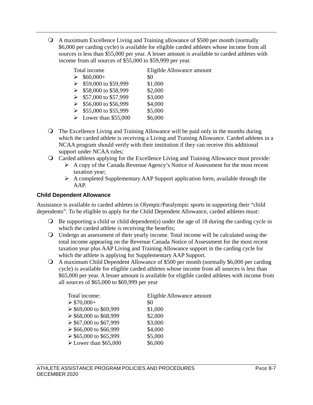A maximum Excellence Living and Training allowance of \$500 per month (normally \$6,000 per carding cycle) is available for eligible carded athletes whose income from all sources is less than \$55,000 per year. A lesser amount is available to carded athletes with income from all sources of \$55,000 to \$59,999 per year.

| Total income                          | Eligible Allowance amount |
|---------------------------------------|---------------------------|
| $$60,000+$                            | \$0                       |
| \$59,000 to \$59,999                  | \$1,000                   |
| \$58,000 to \$58,999                  | \$2,000                   |
| \$57,000 to \$57,999                  | \$3,000                   |
| $\triangleright$ \$56,000 to \$56,999 | \$4,000                   |
| \$55,000 to \$55,999                  | \$5,000                   |
| $\triangleright$ Lower than \$55,000  | \$6,000                   |

- The Excellence Living and Training Allowance will be paid only in the months during which the carded athlete is receiving a Living and Training Allowance. Carded athletes in a NCAA program should verify with their institution if they can receive this additional support under NCAA rules;
- Carded athletes applying for the Excellence Living and Training Allowance must provide:
	- $\triangleright$  A copy of the Canada Revenue Agency's Notice of Assessment for the most recent taxation year;
	- $\triangleright$  A completed Supplementary AAP Support application form, available through the AAP.

#### **Child Dependent Allowance**

Assistance is available to carded athletes in Olympic/Paralympic sports in supporting their "child dependents". To be eligible to apply for the Child Dependent Allowance, carded athletes must:

- $\Theta$  Be supporting a child or child dependent(s) under the age of 18 during the carding cycle in which the carded athlete is receiving the benefits;
- Undergo an assessment of their yearly income. Total income will be calculated using the total income appearing on the Revenue Canada Notice of Assessment for the most recent taxation year plus AAP Living and Training Allowance support in the carding cycle for which the athlete is applying for Supplementary AAP Support.
- A maximum Child Dependent Allowance of \$500 per month (normally \$6,000 per carding cycle) is available for eligible carded athletes whose income from all sources is less than \$65,000 per year. A lesser amount is available for eligible carded athletes with income from all sources of \$65,000 to \$69,999 per year

| Total income:                        | Eligible Allowance amount |
|--------------------------------------|---------------------------|
| $\geq$ \$70,000+                     | \$0                       |
| $\geq$ \$69,000 to \$69,999          | \$1,000                   |
| $\geq$ \$68,000 to \$68,999          | \$2,000                   |
| $\geq$ \$67,000 to \$67,999          | \$3,000                   |
| $\geq$ \$66,000 to \$66,999          | \$4,000                   |
| $\geq$ \$65,000 to \$65,999          | \$5,000                   |
| $\triangleright$ Lower than \$65,000 | \$6,000                   |
|                                      |                           |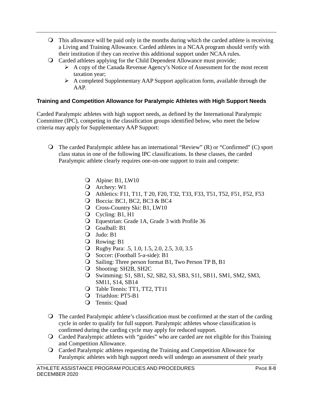- This allowance will be paid only in the months during which the carded athlete is receiving a Living and Training Allowance. Carded athletes in a NCAA program should verify with their institution if they can receive this additional support under NCAA rules.
- Carded athletes applying for the Child Dependent Allowance must provide;
	- $\triangleright$  A copy of the Canada Revenue Agency's Notice of Assessment for the most recent taxation year;
	- $\triangleright$  A completed Supplementary AAP Support application form, available through the AAP.

#### **Training and Competition Allowance for Paralympic Athletes with High Support Needs**

Carded Paralympic athletes with high support needs, as defined by the International Paralympic Committee (IPC), competing in the classification groups identified below, who meet the below criteria may apply for Supplementary AAP Support:

- $\bigcirc$  The carded Paralympic athlete has an international "Review" (R) or "Confirmed" (C) sport class status in one of the following IPC classifications. In these classes, the carded Paralympic athlete clearly requires one-on-one support to train and compete:
	- Alpine: B1, LW10
	- Archery: W1
	- Athletics: F11, T11, T 20, F20, T32, T33, F33, T51, T52, F51, F52, F53
	- Boccia: BC1, BC2, BC3 & BC4
	- Cross-Country Ski: B1, LW10
	- Q Cycling: B1, H1
	- Equestrian: Grade 1A, Grade 3 with Profile 36
	- Goalball: B1
	- Judo: B1
	- Rowing: B1
	- Rugby Para: .5, 1.0, 1.5, 2.0, 2.5, 3.0, 3.5
	- Soccer: (Football 5-a-side): B1
	- Q Sailing: Three person format B1, Two Person TP B, B1
	- Shooting: SH2B, SH2C
	- Swimming: S1, SB1, S2, SB2, S3, SB3, S11, SB11, SM1, SM2, SM3, SM11, S14, SB14
	- Q Table Tennis: TT1, TT2, TT11
	- Q Triathlon: PT5-B1
	- Tennis: Quad
- The carded Paralympic athlete's classification must be confirmed at the start of the carding cycle in order to qualify for full support. Paralympic athletes whose classification is confirmed during the carding cycle may apply for reduced support.
- Carded Paralympic athletes with "guides" who are carded are not eligible for this Training and Competition Allowance.
- Carded Paralympic athletes requesting the Training and Competition Allowance for Paralympic athletes with high support needs will undergo an assessment of their yearly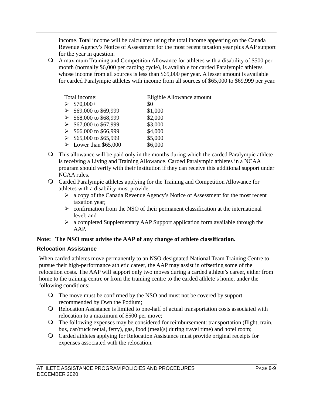income. Total income will be calculated using the total income appearing on the Canada Revenue Agency's Notice of Assessment for the most recent taxation year plus AAP support for the year in question.

 A maximum Training and Competition Allowance for athletes with a disability of \$500 per month (normally \$6,000 per carding cycle), is available for carded Paralympic athletes whose income from all sources is less than \$65,000 per year. A lesser amount is available for carded Paralympic athletes with income from all sources of \$65,000 to \$69,999 per year.

| Total income:                        | Eligible Allowance amount |
|--------------------------------------|---------------------------|
| $$70,000+$                           | \$0                       |
| \$69,000 to \$69,999                 | \$1,000                   |
| \$68,000 to \$68,999                 | \$2,000                   |
| \$67,000 to \$67,999                 | \$3,000                   |
| \$66,000 to \$66,999                 | \$4,000                   |
| \$65,000 to \$65,999                 | \$5,000                   |
| $\triangleright$ Lower than \$65,000 | \$6,000                   |
|                                      |                           |

 This allowance will be paid only in the months during which the carded Paralympic athlete is receiving a Living and Training Allowance. Carded Paralympic athletes in a NCAA program should verify with their institution if they can receive this additional support under NCAA rules.

#### Carded Paralympic athletes applying for the Training and Competition Allowance for athletes with a disability must provide:

- $\triangleright$  a copy of the Canada Revenue Agency's Notice of Assessment for the most recent taxation year;
- $\triangleright$  confirmation from the NSO of their permanent classification at the international level; and
- $\triangleright$  a completed Supplementary AAP Support application form available through the AAP.

#### **Note: The NSO must advise the AAP of any change of athlete classification.**

#### **Relocation Assistance**

When carded athletes move permanently to an NSO-designated National Team Training Centre to pursue their high-performance athletic career, the AAP may assist in offsetting some of the relocation costs. The AAP will support only two moves during a carded athlete's career, either from home to the training centre or from the training centre to the carded athlete's home, under the following conditions:

- The move must be confirmed by the NSO and must not be covered by support recommended by Own the Podium;
- Relocation Assistance is limited to one-half of actual transportation costs associated with relocation to a maximum of \$500 per move;
- The following expenses may be considered for reimbursement: transportation (flight, train, bus, car/truck rental, ferry), gas, food (meal(s) during travel time) and hotel room;
- Carded athletes applying for Relocation Assistance must provide original receipts for expenses associated with the relocation.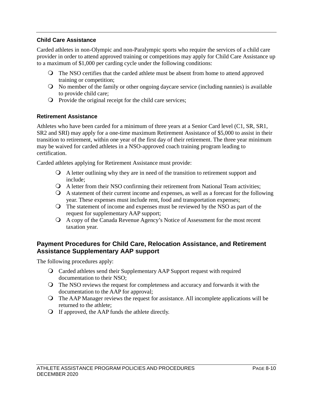#### **Child Care Assistance**

Carded athletes in non-Olympic and non-Paralympic sports who require the services of a child care provider in order to attend approved training or competitions may apply for Child Care Assistance up to a maximum of \$1,000 per carding cycle under the following conditions:

- The NSO certifies that the carded athlete must be absent from home to attend approved training or competition;
- No member of the family or other ongoing daycare service (including nannies) is available to provide child care;
- $\Omega$  Provide the original receipt for the child care services;

#### **Retirement Assistance**

Athletes who have been carded for a minimum of three years at a Senior Card level (C1, SR, SR1, SR2 and SRI) may apply for a one-time maximum Retirement Assistance of \$5,000 to assist in their transition to retirement, within one year of the first day of their retirement. The three year minimum may be waived for carded athletes in a NSO-approved coach training program leading to certification.

Carded athletes applying for Retirement Assistance must provide:

- A letter outlining why they are in need of the transition to retirement support and include;
- A letter from their NSO confirming their retirement from National Team activities;
- A statement of their current income and expenses, as well as a forecast for the following year. These expenses must include rent, food and transportation expenses;
- The statement of income and expenses must be reviewed by the NSO as part of the request for supplementary AAP support;
- A copy of the Canada Revenue Agency's Notice of Assessment for the most recent taxation year.

#### **Payment Procedures for Child Care, Relocation Assistance, and Retirement Assistance Supplementary AAP support**

The following procedures apply:

- Carded athletes send their Supplementary AAP Support request with required documentation to their NSO;
- The NSO reviews the request for completeness and accuracy and forwards it with the documentation to the AAP for approval;
- The AAP Manager reviews the request for assistance. All incomplete applications will be returned to the athlete;
- If approved, the AAP funds the athlete directly.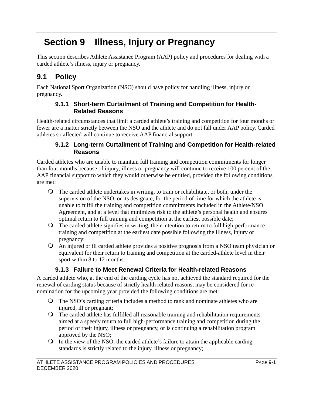# **Section 9 Illness, Injury or Pregnancy**

This section describes Athlete Assistance Program (AAP) policy and procedures for dealing with a carded athlete's illness, injury or pregnancy.

## **9.1 Policy**

Each National Sport Organization (NSO) should have policy for handling illness, injury or pregnancy.

### **9.1.1 Short-term Curtailment of Training and Competition for Health-Related Reasons**

Health-related circumstances that limit a carded athlete's training and competition for four months or fewer are a matter strictly between the NSO and the athlete and do not fall under AAP policy. Carded athletes so affected will continue to receive AAP financial support.

### **9.1.2 Long-term Curtailment of Training and Competition for Health-related Reasons**

Carded athletes who are unable to maintain full training and competition commitments for longer than four months because of injury, illness or pregnancy will continue to receive 100 percent of the AAP financial support to which they would otherwise be entitled, provided the following conditions are met:

- The carded athlete undertakes in writing, to train or rehabilitate, or both, under the supervision of the NSO, or its designate, for the period of time for which the athlete is unable to fulfil the training and competition commitments included in the Athlete/NSO Agreement, and at a level that minimizes risk to the athlete's personal health and ensures optimal return to full training and competition at the earliest possible date;
- The carded athlete signifies in writing, their intention to return to full high-performance training and competition at the earliest date possible following the illness, injury or pregnancy;
- An injured or ill carded athlete provides a positive prognosis from a NSO team physician or equivalent for their return to training and competition at the carded-athlete level in their sport within 8 to 12 months.

### **9.1.3 Failure to Meet Renewal Criteria for Health-related Reasons**

A carded athlete who, at the end of the carding cycle has not achieved the standard required for the renewal of carding status because of strictly health related reasons, may be considered for renomination for the upcoming year provided the following conditions are met:

- The NSO's carding criteria includes a method to rank and nominate athletes who are injured, ill or pregnant;
- The carded athlete has fulfilled all reasonable training and rehabilitation requirements aimed at a speedy return to full high-performance training and competition during the period of their injury, illness or pregnancy, or is continuing a rehabilitation program approved by the NSO;
- $\bigcirc$  In the view of the NSO, the carded athlete's failure to attain the applicable carding standards is strictly related to the injury, illness or pregnancy;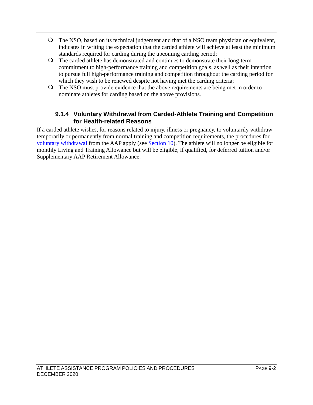- The NSO, based on its technical judgement and that of a NSO team physician or equivalent, indicates in writing the expectation that the carded athlete will achieve at least the minimum standards required for carding during the upcoming carding period;
- The carded athlete has demonstrated and continues to demonstrate their long-term commitment to high-performance training and competition goals, as well as their intention to pursue full high-performance training and competition throughout the carding period for which they wish to be renewed despite not having met the carding criteria;
- The NSO must provide evidence that the above requirements are being met in order to nominate athletes for carding based on the above provisions.

#### **9.1.4 Voluntary Withdrawal from Carded-Athlete Training and Competition for Health-related Reasons**

If a carded athlete wishes, for reasons related to injury, illness or pregnancy, to voluntarily withdraw temporarily or permanently from normal training and competition requirements, the procedures for [voluntary withdrawal](#page-39-0) from the AAP apply (see [Section 10\)](#page-39-0). The athlete will no longer be eligible for monthly Living and Training Allowance but will be eligible, if qualified, for deferred tuition and/or Supplementary AAP Retirement Allowance.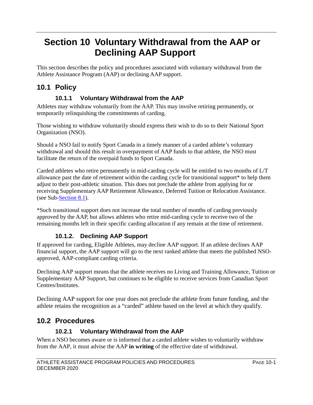## <span id="page-39-0"></span>**Section 10 Voluntary Withdrawal from the AAP or Declining AAP Support**

This section describes the policy and procedures associated with voluntary withdrawal from the Athlete Assistance Program (AAP) or declining AAP support.

## **10.1 Policy**

### **10.1.1 Voluntary Withdrawal from the AAP**

Athletes may withdraw voluntarily from the AAP. This may involve retiring permanently, or temporarily relinquishing the commitments of carding.

Those wishing to withdraw voluntarily should express their wish to do so to their National Sport Organization (NSO).

Should a NSO fail to notify Sport Canada in a timely manner of a carded athlete's voluntary withdrawal and should this result in overpayment of AAP funds to that athlete, the NSO must facilitate the return of the overpaid funds to Sport Canada.

Carded athletes who retire permanently in mid-carding cycle will be entitled to two months of L/T allowance past the date of retirement within the carding cycle for transitional support\* to help them adjust to their post-athletic situation. This does not preclude the athlete from applying for or receiving Supplementary AAP Retirement Allowance, Deferred Tuition or Relocation Assistance. (see Sub[-Section 8.1\)](#page-29-0).

\*Such transitional support does not increase the total number of months of carding previously approved by the AAP, but allows athletes who retire mid-carding cycle to receive two of the remaining months left in their specific carding allocation if any remain at the time of retirement.

### **10.1.2. Declining AAP Support**

If approved for carding, Eligible Athletes, may decline AAP support. If an athlete declines AAP financial support, the AAP support will go to the next ranked athlete that meets the published NSOapproved, AAP-compliant carding criteria.

Declining AAP support means that the athlete receives no Living and Training Allowance, Tuition or Supplementary AAP Support, but continues to be eligible to receive services from Canadian Sport Centres/Institutes.

Declining AAP support for one year does not preclude the athlete from future funding, and the athlete retains the recognition as a "carded" athlete based on the level at which they qualify.

### **10.2 Procedures**

### **10.2.1 Voluntary Withdrawal from the AAP**

When a NSO becomes aware or is informed that a carded athlete wishes to voluntarily withdraw from the AAP, it must advise the AAP **in writing** of the effective date of withdrawal.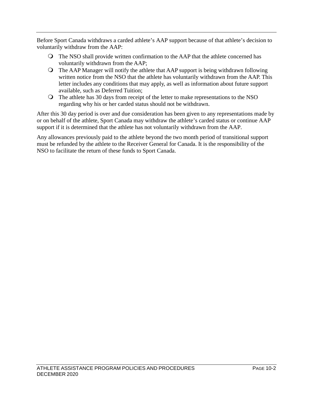Before Sport Canada withdraws a carded athlete's AAP support because of that athlete's decision to voluntarily withdraw from the AAP:

- The NSO shall provide written confirmation to the AAP that the athlete concerned has voluntarily withdrawn from the AAP;
- The AAP Manager will notify the athlete that AAP support is being withdrawn following written notice from the NSO that the athlete has voluntarily withdrawn from the AAP. This letter includes any conditions that may apply, as well as information about future support available, such as Deferred Tuition;
- The athlete has 30 days from receipt of the letter to make representations to the NSO regarding why his or her carded status should not be withdrawn.

After this 30 day period is over and due consideration has been given to any representations made by or on behalf of the athlete, Sport Canada may withdraw the athlete's carded status or continue AAP support if it is determined that the athlete has not voluntarily withdrawn from the AAP.

Any allowances previously paid to the athlete beyond the two month period of transitional support must be refunded by the athlete to the Receiver General for Canada. It is the responsibility of the NSO to facilitate the return of these funds to Sport Canada.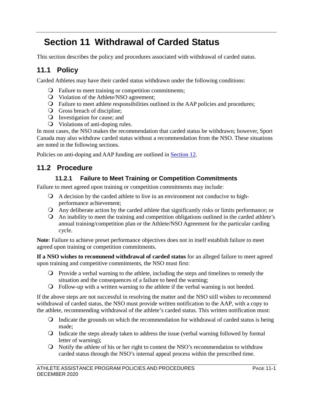# <span id="page-41-1"></span>**Section 11 Withdrawal of Carded Status**

This section describes the policy and procedures associated with withdrawal of carded status.

### **11.1 Policy**

Carded Athletes may have their carded status withdrawn under the following conditions:

- Failure to meet training or competition commitments;
- Violation of the Athlete/NSO agreement;
- Failure to meet athlete responsibilities outlined in the AAP policies and procedures;
- Gross breach of discipline;
- Investigation for cause; and
- Violations of anti-doping rules.

In most cases, the NSO makes the recommendation that carded status be withdrawn; however, Sport Canada may also withdraw carded status without a recommendation from the NSO. These situations are noted in the following sections.

Policies on anti-doping and AAP funding are outlined in [Section 12.](#page-45-0)

### **11.2 Procedure**

#### **11.2.1 Failure to Meet Training or Competition Commitments**

<span id="page-41-0"></span>Failure to meet agreed upon training or competition commitments may include:

- A decision by the carded athlete to live in an environment not conducive to highperformance achievement;
- Any deliberate action by the carded athlete that significantly risks or limits performance; or
- An inability to meet the training and competition obligations outlined in the carded athlete's annual training/competition plan or the Athlete/NSO Agreement for the particular carding cycle.

**Note**: Failure to achieve preset performance objectives does not in itself establish failure to meet agreed upon training or competition commitments.

**If a NSO wishes to recommend withdrawal of carded status** for an alleged failure to meet agreed upon training and competitive commitments, the NSO must first:

- Provide a verbal warning to the athlete, including the steps and timelines to remedy the situation and the consequences of a failure to heed the warning;
- Follow-up with a written warning to the athlete if the verbal warning is not heeded.

If the above steps are not successful in resolving the matter and the NSO still wishes to recommend withdrawal of carded status, the NSO must provide written notification to the AAP, with a copy to the athlete, recommending withdrawal of the athlete's carded status. This written notification must:

- Indicate the grounds on which the recommendation for withdrawal of carded status is being made;
- Indicate the steps already taken to address the issue (verbal warning followed by formal letter of warning);
- Notify the athlete of his or her right to contest the NSO's recommendation to withdraw carded status through the NSO's internal appeal process within the prescribed time.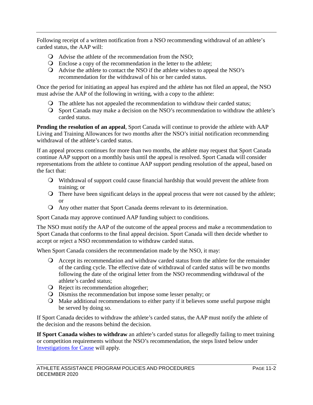Following receipt of a written notification from a NSO recommending withdrawal of an athlete's carded status, the AAP will:

- Advise the athlete of the recommendation from the NSO;
- Enclose a copy of the recommendation in the letter to the athlete;
- Advise the athlete to contact the NSO if the athlete wishes to appeal the NSO's recommendation for the withdrawal of his or her carded status.

Once the period for initiating an appeal has expired and the athlete has not filed an appeal, the NSO must advise the AAP of the following in writing, with a copy to the athlete:

- The athlete has not appealed the recommendation to withdraw their carded status;
- Sport Canada may make a decision on the NSO's recommendation to withdraw the athlete's carded status.

**Pending the resolution of an appeal**, Sport Canada will continue to provide the athlete with AAP Living and Training Allowances for two months after the NSO's initial notification recommending withdrawal of the athlete's carded status.

If an appeal process continues for more than two months, the athlete may request that Sport Canada continue AAP support on a monthly basis until the appeal is resolved. Sport Canada will consider representations from the athlete to continue AAP support pending resolution of the appeal, based on the fact that:

- Withdrawal of support could cause financial hardship that would prevent the athlete from training; or
- There have been significant delays in the appeal process that were not caused by the athlete; or
- Any other matter that Sport Canada deems relevant to its determination.

Sport Canada may approve continued AAP funding subject to conditions.

The NSO must notify the AAP of the outcome of the appeal process and make a recommendation to Sport Canada that conforms to the final appeal decision. Sport Canada will then decide whether to accept or reject a NSO recommendation to withdraw carded status.

When Sport Canada considers the recommendation made by the NSO, it may:

- Accept its recommendation and withdraw carded status from the athlete for the remainder of the carding cycle. The effective date of withdrawal of carded status will be two months following the date of the original letter from the NSO recommending withdrawal of the athlete's carded status;
- **Q** Reject its recommendation altogether:
- Dismiss the recommendation but impose some lesser penalty; or
- Make additional recommendations to either party if it believes some useful purpose might be served by doing so.

If Sport Canada decides to withdraw the athlete's carded status, the AAP must notify the athlete of the decision and the reasons behind the decision.

**If Sport Canada wishes to withdraw** an athlete's carded status for allegedly failing to meet training or competition requirements without the NSO's recommendation, the steps listed below under [Investigations for Cause](#page-43-0) will apply.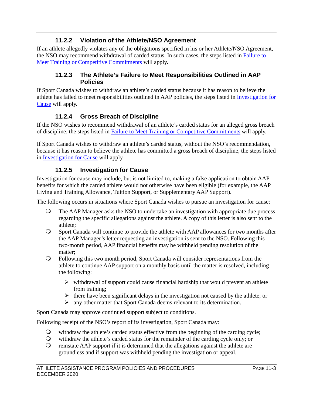#### **11.2.2 Violation of the Athlete/NSO Agreement**

If an athlete allegedly violates any of the obligations specified in his or her Athlete/NSO Agreement, the NSO may recommend withdrawal of carded status. In such cases, the steps listed in Failure to [Meet Training or Competitive Commitments](#page-41-0) will apply*.* 

#### **11.2.3 The Athlete's Failure to Meet Responsibilities Outlined in AAP Policies**

If Sport Canada wishes to withdraw an athlete's carded status because it has reason to believe the athlete has failed to meet responsibilities outlined in AAP policies, the steps listed in [Investigation for](#page-43-0)  [Cause](#page-43-0) will apply.

### **11.2.4 Gross Breach of Discipline**

If the NSO wishes to recommend withdrawal of an athlete's carded status for an alleged gross breach of discipline, the steps listed in [Failure to Meet Training or Competitive Commitments](#page-41-0) will apply.

If Sport Canada wishes to withdraw an athlete's carded status, without the NSO's recommendation, because it has reason to believe the athlete has committed a gross breach of discipline, the steps listed in [Investigation for Cause](#page-43-0) will apply.

#### **11.2.5 Investigation for Cause**

<span id="page-43-0"></span>Investigation for cause may include, but is not limited to, making a false application to obtain AAP benefits for which the carded athlete would not otherwise have been eligible (for example, the AAP Living and Training Allowance, Tuition Support, or Supplementary AAP Support).

The following occurs in situations where Sport Canada wishes to pursue an investigation for cause:

- The AAP Manager asks the NSO to undertake an investigation with appropriate due process regarding the specific allegations against the athlete. A copy of this letter is also sent to the athlete;
- Sport Canada will continue to provide the athlete with AAP allowances for two months after the AAP Manager's letter requesting an investigation is sent to the NSO. Following this two-month period, AAP financial benefits may be withheld pending resolution of the matter;
- Following this two month period, Sport Canada will consider representations from the athlete to continue AAP support on a monthly basis until the matter is resolved, including the following:
	- $\triangleright$  withdrawal of support could cause financial hardship that would prevent an athlete from training;
	- $\triangleright$  there have been significant delays in the investigation not caused by the athlete; or
	- any other matter that Sport Canada deems relevant to its determination.

Sport Canada may approve continued support subject to conditions.

Following receipt of the NSO's report of its investigation, Sport Canada may:

- withdraw the athlete's carded status effective from the beginning of the carding cycle;
- withdraw the athlete's carded status for the remainder of the carding cycle only; or
- $\Omega$  reinstate AAP support if it is determined that the allegations against the athlete are groundless and if support was withheld pending the investigation or appeal.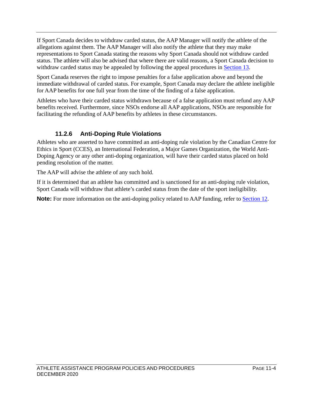If Sport Canada decides to withdraw carded status, the AAP Manager will notify the athlete of the allegations against them. The AAP Manager will also notify the athlete that they may make representations to Sport Canada stating the reasons why Sport Canada should not withdraw carded status. The athlete will also be advised that where there are valid reasons, a Sport Canada decision to withdraw carded status may be appealed by following the appeal procedures in [Section 13.](#page-46-0)

Sport Canada reserves the right to impose penalties for a false application above and beyond the immediate withdrawal of carded status. For example, Sport Canada may declare the athlete ineligible for AAP benefits for one full year from the time of the finding of a false application.

Athletes who have their carded status withdrawn because of a false application must refund any AAP benefits received. Furthermore, since NSOs endorse all AAP applications, NSOs are responsible for facilitating the refunding of AAP benefits by athletes in these circumstances.

### **11.2.6 Anti-Doping Rule Violations**

Athletes who are asserted to have committed an anti-doping rule violation by the Canadian Centre for Ethics in Sport (CCES), an International Federation, a Major Games Organization, the World Anti-Doping Agency or any other anti-doping organization, will have their carded status placed on hold pending resolution of the matter.

The AAP will advise the athlete of any such hold.

If it is determined that an athlete has committed and is sanctioned for an anti-doping rule violation, Sport Canada will withdraw that athlete's carded status from the date of the sport ineligibility.

**Note:** For more information on the anti-doping policy related to AAP funding, refer to **Section 12**.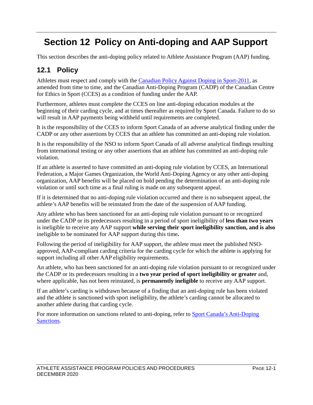# <span id="page-45-0"></span>**Section 12 Policy on Anti-doping and AAP Support**

This section describes the anti-doping policy related to Athlete Assistance Program (AAP) funding.

### **12.1 Policy**

Athletes must respect and comply with the [Canadian Policy Against Doping in Sport-2011,](https://www.canada.ca/en/canadian-heritage/services/sport-policies-acts-regulations/policy-against-doping-sport.html) as amended from time to time, and the Canadian Anti-Doping Program (CADP) of the Canadian Centre for Ethics in Sport (CCES) as a condition of funding under the AAP.

Furthermore, athletes must complete the CCES on line anti-doping education modules at the beginning of their carding cycle, and at times thereafter as required by Sport Canada. Failure to do so will result in AAP payments being withheld until requirements are completed.

It is the responsibility of the CCES to inform Sport Canada of an adverse analytical finding under the CADP or any other assertions by CCES that an athlete has committed an anti-doping rule violation.

It is the responsibility of the NSO to inform Sport Canada of all adverse analytical findings resulting from international testing or any other assertions that an athlete has committed an anti-doping rule violation.

If an athlete is asserted to have committed an anti-doping rule violation by CCES, an International Federation, a Major Games Organization, the World Anti-Doping Agency or any other anti-doping organization, AAP benefits will be placed on hold pending the determination of an anti-doping rule violation or until such time as a final ruling is made on any subsequent appeal.

If it is determined that no anti-doping rule violation occurred and there is no subsequent appeal, the athlete's AAP benefits will be reinstated from the date of the suspension of AAP funding.

Any athlete who has been sanctioned for an anti-doping rule violation pursuant to or recognized under the CADP or its predecessors resulting in a period of sport ineligibility of **less than two years**  is ineligible to receive any AAP support **while serving their sport ineligibility sanction, and is also**  ineligible to be nominated for AAP support during this time**.** 

Following the period of ineligibility for AAP support, the athlete must meet the published NSOapproved, AAP-compliant carding criteria for the carding cycle for which the athlete is applying for support including all other AAP eligibility requirements.

An athlete, who has been sanctioned for an anti-doping rule violation pursuant to or recognized under the CADP or its predecessors resulting in a **two year period of sport ineligibility or greater** and, where applicable, has not been reinstated, is **permanently ineligible** to receive any AAP support.

If an athlete's carding is withdrawn because of a finding that an anti-doping rule has been violated and the athlete is sanctioned with sport ineligibility, the athlete's carding cannot be allocated to another athlete during that carding cycle.

For more information on sanctions related to anti-doping, refer to Sport Canada's Anti-Doping [Sanctions.](https://www.canada.ca/en/canadian-heritage/services/ethics-sport.html)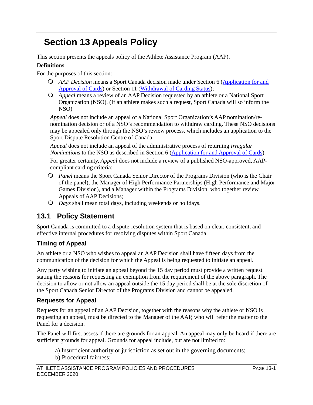# <span id="page-46-0"></span>**Section 13 Appeals Policy**

This section presents the appeals policy of the Athlete Assistance Program (AAP).

#### **Definitions**

For the purposes of this section:

- *AAP Decision* means a Sport Canada decision made under Section 6 [\(Application for and](#page-23-0)  [Approval of Cards\)](#page-23-0) or Section 11 [\(Withdrawal of Carding Status\)](#page-41-1);
- *Appeal* means a review of an AAP Decision requested by an athlete or a National Sport Organization (NSO). (If an athlete makes such a request, Sport Canada will so inform the NSO)

*Appeal* does not include an appeal of a National Sport Organization's AAP nomination/renomination decision or of a NSO's recommendation to withdraw carding. These NSO decisions may be appealed only through the NSO's review process, which includes an application to the Sport Dispute Resolution Centre of Canada.

*Appeal* does not include an appeal of the administrative process of returning *Irregular Nominations* to the NSO as described in Section 6 [\(Application for and Approval of Cards\)](#page-23-0). For greater certainty, *Appeal* does not include a review of a published NSO-approved, AAPcompliant carding criteria;

- *Panel* means the Sport Canada Senior Director of the Programs Division (who is the Chair of the panel), the Manager of High Performance Partnerships (High Performance and Major Games Division), and a Manager within the Programs Division, who together review Appeals of AAP Decisions;
- *Days* shall mean total days, including weekends or holidays.

### **13.1 Policy Statement**

Sport Canada is committed to a dispute-resolution system that is based on clear, consistent, and effective internal procedures for resolving disputes within Sport Canada.

### **Timing of Appeal**

An athlete or a NSO who wishes to appeal an AAP Decision shall have fifteen days from the communication of the decision for which the Appeal is being requested to initiate an appeal.

Any party wishing to initiate an appeal beyond the 15 day period must provide a written request stating the reasons for requesting an exemption from the requirement of the above paragraph. The decision to allow or not allow an appeal outside the 15 day period shall be at the sole discretion of the Sport Canada Senior Director of the Programs Division and cannot be appealed.

### **Requests for Appeal**

Requests for an appeal of an AAP Decision, together with the reasons why the athlete or NSO is requesting an appeal, must be directed to the Manager of the AAP, who will refer the matter to the Panel for a decision.

The Panel will first assess if there are grounds for an appeal. An appeal may only be heard if there are sufficient grounds for appeal. Grounds for appeal include, but are not limited to:

- a) Insufficient authority or jurisdiction as set out in the governing documents;
- b) Procedural fairness;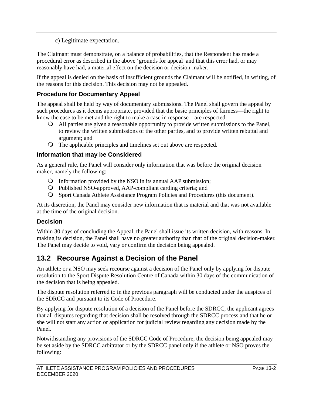c) Legitimate expectation.

The Claimant must demonstrate, on a balance of probabilities, that the Respondent has made a procedural error as described in the above 'grounds for appeal' and that this error had, or may reasonably have had, a material effect on the decision or decision-maker.

If the appeal is denied on the basis of insufficient grounds the Claimant will be notified, in writing, of the reasons for this decision. This decision may not be appealed.

### **Procedure for Documentary Appeal**

The appeal shall be held by way of documentary submissions. The Panel shall govern the appeal by such procedures as it deems appropriate, provided that the basic principles of fairness—the right to know the case to be met and the right to make a case in response—are respected:

- All parties are given a reasonable opportunity to provide written submissions to the Panel, to review the written submissions of the other parties, and to provide written rebuttal and argument; and
- The applicable principles and timelines set out above are respected.

#### **Information that may be Considered**

As a general rule, the Panel will consider only information that was before the original decision maker, namely the following:

- Information provided by the NSO in its annual AAP submission;
- Published NSO-approved, AAP-compliant carding criteria; and
- Sport Canada Athlete Assistance Program Policies and Procedures (this document).

At its discretion, the Panel may consider new information that is material and that was not available at the time of the original decision.

#### **Decision**

Within 30 days of concluding the Appeal, the Panel shall issue its written decision, with reasons. In making its decision, the Panel shall have no greater authority than that of the original decision-maker. The Panel may decide to void, vary or confirm the decision being appealed.

### **13.2 Recourse Against a Decision of the Panel**

An athlete or a NSO may seek recourse against a decision of the Panel only by applying for dispute resolution to the Sport Dispute Resolution Centre of Canada within 30 days of the communication of the decision that is being appealed.

The dispute resolution referred to in the previous paragraph will be conducted under the auspices of the SDRCC and pursuant to its Code of Procedure.

By applying for dispute resolution of a decision of the Panel before the SDRCC, the applicant agrees that all disputes regarding that decision shall be resolved through the SDRCC process and that he or she will not start any action or application for judicial review regarding any decision made by the Panel.

Notwithstanding any provisions of the SDRCC Code of Procedure, the decision being appealed may be set aside by the SDRCC arbitrator or by the SDRCC panel only if the athlete or NSO proves the following: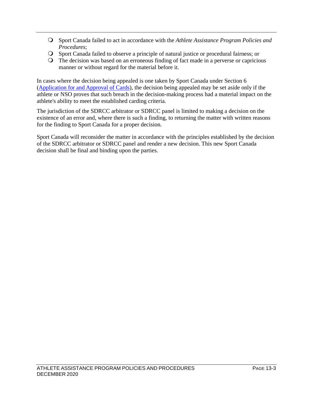- Sport Canada failed to act in accordance with the *Athlete Assistance Program Policies and Procedures*;
- Sport Canada failed to observe a principle of natural justice or procedural fairness; or
- The decision was based on an erroneous finding of fact made in a perverse or capricious manner or without regard for the material before it.

In cases where the decision being appealed is one taken by Sport Canada under Section 6 [\(Application for and Approval of Cards\)](#page-23-0), the decision being appealed may be set aside only if the athlete or NSO proves that such breach in the decision-making process had a material impact on the athlete's ability to meet the established carding criteria.

The jurisdiction of the SDRCC arbitrator or SDRCC panel is limited to making a decision on the existence of an error and, where there is such a finding, to returning the matter with written reasons for the finding to Sport Canada for a proper decision.

Sport Canada will reconsider the matter in accordance with the principles established by the decision of the SDRCC arbitrator or SDRCC panel and render a new decision. This new Sport Canada decision shall be final and binding upon the parties.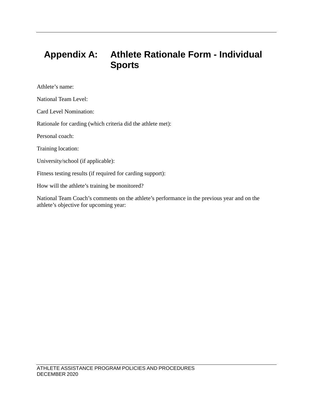## **Appendix A: Athlete Rationale Form - Individual Sports**

Athlete's name:

National Team Level:

Card Level Nomination:

Rationale for carding (which criteria did the athlete met):

Personal coach:

Training location:

University/school (if applicable):

Fitness testing results (if required for carding support):

How will the athlete's training be monitored?

National Team Coach's comments on the athlete's performance in the previous year and on the athlete's objective for upcoming year: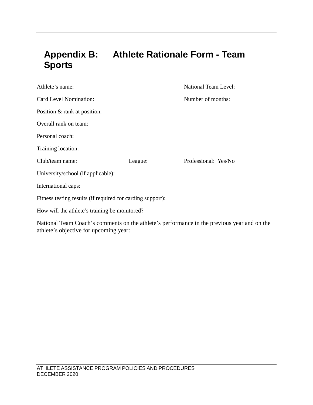## **Appendix B: Athlete Rationale Form - Team Sports**

| Athlete's name:                                            |         | <b>National Team Level:</b> |
|------------------------------------------------------------|---------|-----------------------------|
| Card Level Nomination:                                     |         | Number of months:           |
| Position & rank at position:                               |         |                             |
| Overall rank on team:                                      |         |                             |
| Personal coach:                                            |         |                             |
| Training location:                                         |         |                             |
| Club/team name:                                            | League: | Professional: Yes/No        |
| University/school (if applicable):                         |         |                             |
| International caps:                                        |         |                             |
| Fitness testing results (if required for carding support): |         |                             |
| How will the athlete's training be monitored?              |         |                             |

National Team Coach's comments on the athlete's performance in the previous year and on the athlete's objective for upcoming year: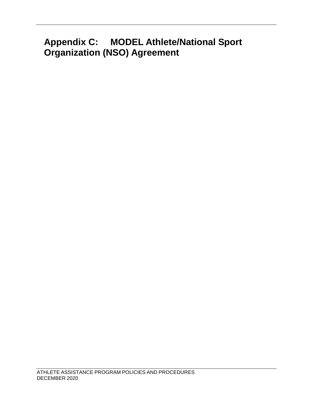# **Appendix C: MODEL Athlete/National Sport Organization (NSO) Agreement**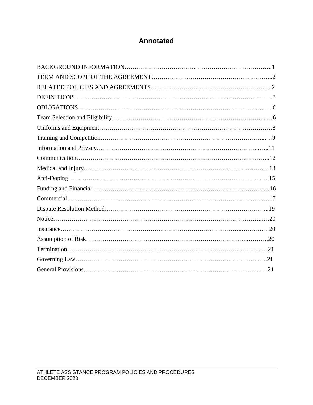### **Annotated**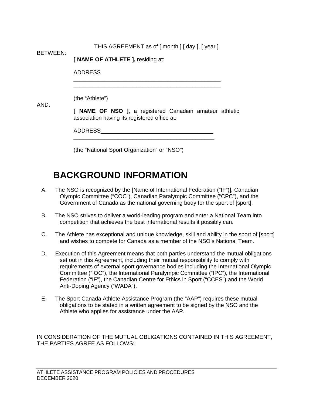| <b>BETWEEN:</b> | THIS AGREEMENT as of [ month ] [ day ], [ year ]                                                        |  |  |
|-----------------|---------------------------------------------------------------------------------------------------------|--|--|
|                 | [ NAME OF ATHLETE ], residing at:                                                                       |  |  |
|                 | <b>ADDRESS</b>                                                                                          |  |  |
|                 |                                                                                                         |  |  |
| AND:            | (the "Athlete")                                                                                         |  |  |
|                 | [ NAME OF NSO ], a registered Canadian amateur athletic<br>association having its registered office at: |  |  |
|                 | ADDRESS                                                                                                 |  |  |
|                 | (the "National Sport Organization" or "NSO")                                                            |  |  |

## <span id="page-53-0"></span>**BACKGROUND INFORMATION**

- A. The NSO is recognized by the [Name of International Federation ("IF")], Canadian Olympic Committee ("COC"), Canadian Paralympic Committee ("CPC"), and the Government of Canada as the national governing body for the sport of [sport].
- B. The NSO strives to deliver a world-leading program and enter a National Team into competition that achieves the best international results it possibly can.
- C. The Athlete has exceptional and unique knowledge, skill and ability in the sport of [sport] and wishes to compete for Canada as a member of the NSO's National Team.
- D. Execution of this Agreement means that both parties understand the mutual obligations set out in this Agreement, including their mutual responsibility to comply with requirements of external sport governance bodies including the International Olympic Committee ("IOC"), the International Paralympic Committee ("IPC"), the International Federation ("IF"), the Canadian Centre for Ethics in Sport ("CCES") and the World Anti-Doping Agency ("WADA").
- E. The Sport Canada Athlete Assistance Program (the "AAP") requires these mutual obligations to be stated in a written agreement to be signed by the NSO and the Athlete who applies for assistance under the AAP.

IN CONSIDERATION OF THE MUTUAL OBLIGATIONS CONTAINED IN THIS AGREEMENT, THE PARTIES AGREE AS FOLLOWS: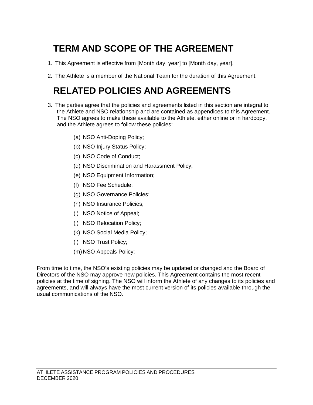# <span id="page-54-0"></span>**TERM AND SCOPE OF THE AGREEMENT**

- 1. This Agreement is effective from [Month day, year] to [Month day, year].
- <span id="page-54-1"></span>2. The Athlete is a member of the National Team for the duration of this Agreement.

# **RELATED POLICIES AND AGREEMENTS**

- 3. The parties agree that the policies and agreements listed in this section are integral to the Athlete and NSO relationship and are contained as appendices to this Agreement. The NSO agrees to make these available to the Athlete, either online or in hardcopy, and the Athlete agrees to follow these policies:
	- (a) NSO Anti-Doping Policy;
	- (b) NSO Injury Status Policy;
	- (c) NSO Code of Conduct;
	- (d) NSO Discrimination and Harassment Policy;
	- (e) NSO Equipment Information;
	- (f) NSO Fee Schedule;
	- (g) NSO Governance Policies;
	- (h) NSO Insurance Policies;
	- (i) NSO Notice of Appeal;
	- (j) NSO Relocation Policy;
	- (k) NSO Social Media Policy;
	- (l) NSO Trust Policy;
	- (m) NSO Appeals Policy;

From time to time, the NSO's existing policies may be updated or changed and the Board of Directors of the NSO may approve new policies. This Agreement contains the most recent policies at the time of signing. The NSO will inform the Athlete of any changes to its policies and agreements, and will always have the most current version of its policies available through the usual communications of the NSO.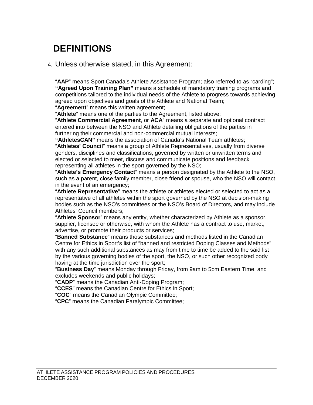# <span id="page-55-0"></span>**DEFINITIONS**

#### 4. Unless otherwise stated, in this Agreement:

"**AAP**" means Sport Canada's Athlete Assistance Program; also referred to as "carding"; **"Agreed Upon Training Plan"** means a schedule of mandatory training programs and competitions tailored to the individual needs of the Athlete to progress towards achieving agreed upon objectives and goals of the Athlete and National Team;

"**Agreement**" means this written agreement;

"**Athlete**" means one of the parties to the Agreement, listed above;

"**Athlete Commercial Agreement**, or **ACA**" means a separate and optional contract entered into between the NSO and Athlete detailing obligations of the parties in furthering their commercial and non-commercial mutual interests;

**"AthletesCAN"** means the association of Canada's National Team athletes; "**Athletes' Council**" means a group of Athlete Representatives, usually from diverse genders, disciplines and classifications, governed by written or unwritten terms and elected or selected to meet, discuss and communicate positions and feedback representing all athletes in the sport governed by the NSO;

"**Athlete's Emergency Contact**" means a person designated by the Athlete to the NSO, such as a parent, close family member, close friend or spouse, who the NSO will contact in the event of an emergency;

"**Athlete Representative**" means the athlete or athletes elected or selected to act as a representative of all athletes within the sport governed by the NSO at decision-making bodies such as the NSO's committees or the NSO's Board of Directors, and may include Athletes' Council members;

"**Athlete Sponsor**" means any entity, whether characterized by Athlete as a sponsor, supplier, licensee or otherwise, with whom the Athlete has a contract to use, market, advertise, or promote their products or services;

"**Banned Substance**" means those substances and methods listed in the Canadian Centre for Ethics in Sport's list of "banned and restricted Doping Classes and Methods" with any such additional substances as may from time to time be added to the said list by the various governing bodies of the sport, the NSO, or such other recognized body having at the time jurisdiction over the sport;

"**Business Day**" means Monday through Friday, from 9am to 5pm Eastern Time, and excludes weekends and public holidays;

"**CADP**" means the Canadian Anti-Doping Program;

"**CCES**" means the Canadian Centre for Ethics in Sport;

"**COC**" means the Canadian Olympic Committee;

"**CPC**" means the Canadian Paralympic Committee;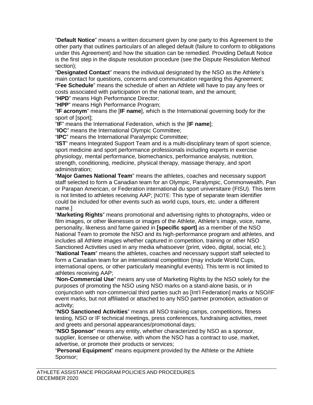"**Default Notice**" means a written document given by one party to this Agreement to the other party that outlines particulars of an alleged default (failure to conform to obligations under this Agreement) and how the situation can be remedied. Providing Default Notice is the first step in the dispute resolution procedure (see the Dispute Resolution Method section);

"**Designated Contact**" means the individual designated by the NSO as the Athlete's main contact for questions, concerns and communication regarding this Agreement; "**Fee Schedule**" means the schedule of when an Athlete will have to pay any fees or costs associated with participation on the national team, and the amount; "**HPD**" means High Performance Director;

"**HPP**" means High Performance Program;

"**IF acronym**" means the [**IF name**], which is the International governing body for the sport of [sport];

"**IF**" means the International Federation, which is the [**IF name**];

"**IOC**" means the International Olympic Committee;

"**IPC**" means the International Paralympic Committee;

"**IST**" means Integrated Support Team and is a multi-disciplinary team of sport science, sport medicine and sport performance professionals including experts in exercise physiology, mental performance, biomechanics, performance analysis, nutrition, strength, conditioning, medicine, physical therapy, massage therapy, and sport administration;

"**Major Games National Team**" means the athletes, coaches and necessary support staff selected to form a Canadian team for an Olympic, Paralympic, Commonwealth, Pan or Parapan American, or Federation international du sport universitaire (FISU). This term is not limited to athletes receiving AAP; [NOTE: This type of separate team identifier could be included for other events such as world cups, tours, etc. under a different name.]

"**Marketing Rights**" means promotional and advertising rights to photographs, video or film images, or other likenesses or images of the Athlete, Athlete's image, voice, name, personality, likeness and fame gained in **[specific sport]** as a member of the NSO National Team to promote the NSO and its high-performance program and athletes, and includes all Athlete images whether captured in competition, training or other NSO Sanctioned Activities used in any media whatsoever (print, video, digital, social, etc.);

"**National Team**" means the athletes, coaches and necessary support staff selected to form a Canadian team for an international competition (may include World Cups, international opens, or other particularly meaningful events). This term is not limited to athletes receiving AAP;

"**Non-Commercial Use**" means any use of Marketing Rights by the NSO solely for the purposes of promoting the NSO using NSO marks on a stand-alone basis, or in conjunction with non-commercial third parties such as [Int'l Federation] marks or NSO/IF event marks, but not affiliated or attached to any NSO partner promotion, activation or activity;

"**NSO Sanctioned Activities**" means all NSO training camps, competitions, fitness testing, NSO or IF technical meetings, press conferences, fundraising activities, meet and greets and personal appearances/promotional days;

"**NSO Sponsor**" means any entity, whether characterized by NSO as a sponsor, supplier, licensee or otherwise, with whom the NSO has a contract to use, market, advertise, or promote their products or services;

"**Personal Equipment**" means equipment provided by the Athlete or the Athlete Sponsor;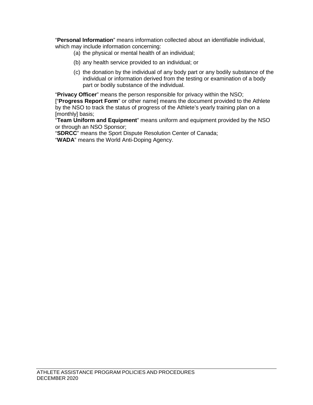"**Personal Information**" means information collected about an identifiable individual, which may include information concerning:

- (a) the physical or mental health of an individual;
- (b) any health service provided to an individual; or
- (c) the donation by the individual of any body part or any bodily substance of the individual or information derived from the testing or examination of a body part or bodily substance of the individual.

"**Privacy Officer**" means the person responsible for privacy within the NSO; ["**Progress Report Form**" or other name] means the document provided to the Athlete by the NSO to track the status of progress of the Athlete's yearly training plan on a [monthly] basis;

"**Team Uniform and Equipment**" means uniform and equipment provided by the NSO or through an NSO Sponsor;

"**SDRCC**" means the Sport Dispute Resolution Center of Canada;

"**WADA**" means the World Anti-Doping Agency.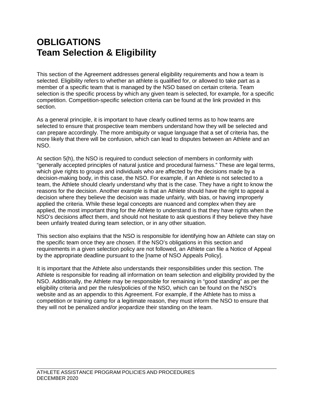## <span id="page-58-1"></span><span id="page-58-0"></span>**OBLIGATIONS Team Selection & Eligibility**

This section of the Agreement addresses general eligibility requirements and how a team is selected. Eligibility refers to whether an athlete is qualified for, or allowed to take part as a member of a specific team that is managed by the NSO based on certain criteria. Team selection is the specific process by which any given team is selected, for example, for a specific competition. Competition-specific selection criteria can be found at the link provided in this section.

As a general principle, it is important to have clearly outlined terms as to how teams are selected to ensure that prospective team members understand how they will be selected and can prepare accordingly. The more ambiguity or vague language that a set of criteria has, the more likely that there will be confusion, which can lead to disputes between an Athlete and an NSO.

At section 5(h), the NSO is required to conduct selection of members in conformity with "generally accepted principles of natural justice and procedural fairness." These are legal terms, which give rights to groups and individuals who are affected by the decisions made by a decision-making body, in this case, the NSO. For example, if an Athlete is not selected to a team, the Athlete should clearly understand why that is the case. They have a right to know the reasons for the decision. Another example is that an Athlete should have the right to appeal a decision where they believe the decision was made unfairly, with bias, or having improperly applied the criteria. While these legal concepts are nuanced and complex when they are applied, the most important thing for the Athlete to understand is that they have rights when the NSO's decisions affect them, and should not hesitate to ask questions if they believe they have been unfairly treated during team selection, or in any other situation.

This section also explains that the NSO is responsible for identifying how an Athlete can stay on the specific team once they are chosen. If the NSO's obligations in this section and requirements in a given selection policy are not followed, an Athlete can file a Notice of Appeal by the appropriate deadline pursuant to the [name of NSO Appeals Policy].

It is important that the Athlete also understands their responsibilities under this section. The Athlete is responsible for reading all information on team selection and eligibility provided by the NSO. Additionally, the Athlete may be responsible for remaining in "good standing" as per the eligibility criteria and per the rules/policies of the NSO, which can be found on the NSO's website and as an appendix to this Agreement. For example, if the Athlete has to miss a competition or training camp for a legitimate reason, they must inform the NSO to ensure that they will not be penalized and/or jeopardize their standing on the team.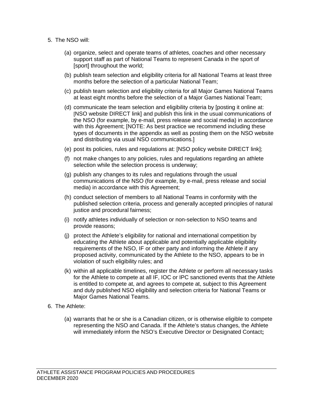- 5. The NSO will:
	- (a) organize, select and operate teams of athletes, coaches and other necessary support staff as part of National Teams to represent Canada in the sport of [sport] throughout the world;
	- (b) publish team selection and eligibility criteria for all National Teams at least three months before the selection of a particular National Team;
	- (c) publish team selection and eligibility criteria for all Major Games National Teams at least eight months before the selection of a Major Games National Team;
	- (d) communicate the team selection and eligibility criteria by [posting it online at: [NSO website DIRECT link] and publish this link in the usual communications of the NSO (for example, by e-mail, press release and social media) in accordance with this Agreement; [NOTE: As best practice we recommend including these types of documents in the appendix as well as posting them on the NSO website and distributing via usual NSO communications.]
	- (e) post its policies, rules and regulations at: [NSO policy website DIRECT link];
	- (f) not make changes to any policies, rules and regulations regarding an athlete selection while the selection process is underway;
	- (g) publish any changes to its rules and regulations through the usual communications of the NSO (for example, by e-mail, press release and social media) in accordance with this Agreement;
	- (h) conduct selection of members to all National Teams in conformity with the published selection criteria, process and generally accepted principles of natural justice and procedural fairness;
	- (i) notify athletes individually of selection or non-selection to NSO teams and provide reasons;
	- (j) protect the Athlete's eligibility for national and international competition by educating the Athlete about applicable and potentially applicable eligibility requirements of the NSO, IF or other party and informing the Athlete if any proposed activity, communicated by the Athlete to the NSO, appears to be in violation of such eligibility rules; and
	- (k) within all applicable timelines, register the Athlete or perform all necessary tasks for the Athlete to compete at all IF, IOC or IPC sanctioned events that the Athlete is entitled to compete at, and agrees to compete at, subject to this Agreement and duly published NSO eligibility and selection criteria for National Teams or Major Games National Teams.
- 6. The Athlete:
	- (a) warrants that he or she is a Canadian citizen, or is otherwise eligible to compete representing the NSO and Canada. If the Athlete's status changes, the Athlete will immediately inform the NSO's Executive Director or Designated Contact**;**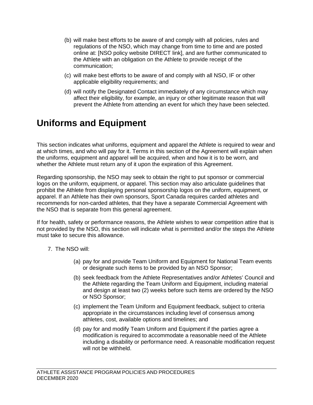- (b) will make best efforts to be aware of and comply with all policies, rules and regulations of the NSO, which may change from time to time and are posted online at: [NSO policy website DIRECT link], and are further communicated to the Athlete with an obligation on the Athlete to provide receipt of the communication;
- (c) will make best efforts to be aware of and comply with all NSO, IF or other applicable eligibility requirements; and
- (d) will notify the Designated Contact immediately of any circumstance which may affect their eligibility, for example, an injury or other legitimate reason that will prevent the Athlete from attending an event for which they have been selected.

## <span id="page-60-0"></span>**Uniforms and Equipment**

This section indicates what uniforms, equipment and apparel the Athlete is required to wear and at which times, and who will pay for it. Terms in this section of the Agreement will explain when the uniforms, equipment and apparel will be acquired, when and how it is to be worn, and whether the Athlete must return any of it upon the expiration of this Agreement.

Regarding sponsorship, the NSO may seek to obtain the right to put sponsor or commercial logos on the uniform, equipment, or apparel. This section may also articulate guidelines that prohibit the Athlete from displaying personal sponsorship logos on the uniform, equipment, or apparel. If an Athlete has their own sponsors, Sport Canada requires carded athletes and recommends for non-carded athletes, that they have a separate Commercial Agreement with the NSO that is separate from this general agreement.

If for health, safety or performance reasons, the Athlete wishes to wear competition attire that is not provided by the NSO, this section will indicate what is permitted and/or the steps the Athlete must take to secure this allowance.

- 7. The NSO will:
	- (a) pay for and provide Team Uniform and Equipment for National Team events or designate such items to be provided by an NSO Sponsor;
	- (b) seek feedback from the Athlete Representatives and/or Athletes' Council and the Athlete regarding the Team Uniform and Equipment, including material and design at least two (2) weeks before such items are ordered by the NSO or NSO Sponsor;
	- (c) implement the Team Uniform and Equipment feedback, subject to criteria appropriate in the circumstances including level of consensus among athletes, cost, available options and timelines; and
	- (d) pay for and modify Team Uniform and Equipment if the parties agree a modification is required to accommodate a reasonable need of the Athlete including a disability or performance need. A reasonable modification request will not be withheld.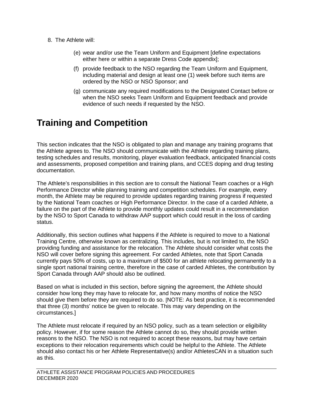- 8. The Athlete will:
	- (e) wear and/or use the Team Uniform and Equipment [define expectations either here or within a separate Dress Code appendix];
	- (f) provide feedback to the NSO regarding the Team Uniform and Equipment, including material and design at least one (1) week before such items are ordered by the NSO or NSO Sponsor; and
	- (g) communicate any required modifications to the Designated Contact before or when the NSO seeks Team Uniform and Equipment feedback and provide evidence of such needs if requested by the NSO.

## <span id="page-61-0"></span>**Training and Competition**

This section indicates that the NSO is obligated to plan and manage any training programs that the Athlete agrees to. The NSO should communicate with the Athlete regarding training plans, testing schedules and results, monitoring, player evaluation feedback, anticipated financial costs and assessments, proposed competition and training plans, and CCES doping and drug testing documentation.

The Athlete's responsibilities in this section are to consult the National Team coaches or a High Performance Director while planning training and competition schedules. For example, every month, the Athlete may be required to provide updates regarding training progress if requested by the National Team coaches or High Performance Director. In the case of a carded Athlete, a failure on the part of the Athlete to provide monthly updates could result in a recommendation by the NSO to Sport Canada to withdraw AAP support which could result in the loss of carding status.

Additionally, this section outlines what happens if the Athlete is required to move to a National Training Centre, otherwise known as centralizing. This includes, but is not limited to, the NSO providing funding and assistance for the relocation. The Athlete should consider what costs the NSO will cover before signing this agreement. For carded Athletes, note that Sport Canada currently pays 50% of costs, up to a maximum of \$500 for an athlete relocating permanently to a single sport national training centre, therefore in the case of carded Athletes, the contribution by Sport Canada through AAP should also be outlined.

Based on what is included in this section, before signing the agreement, the Athlete should consider how long they may have to relocate for, and how many months of notice the NSO should give them before they are required to do so. [NOTE: As best practice, it is recommended that three (3) months' notice be given to relocate. This may vary depending on the circumstances.]

The Athlete must relocate if required by an NSO policy, such as a team selection or eligibility policy. However, if for some reason the Athlete cannot do so, they should provide written reasons to the NSO. The NSO is not required to accept these reasons, but may have certain exceptions to their relocation requirements which could be helpful to the Athlete. The Athlete should also contact his or her Athlete Representative(s) and/or AthletesCAN in a situation such as this.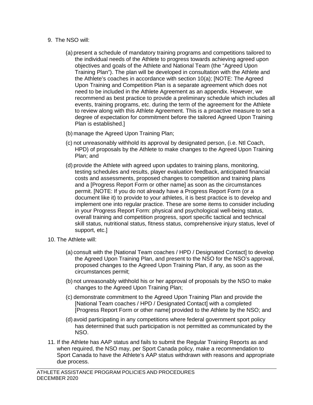- 9. The NSO will:
	- (a) present a schedule of mandatory training programs and competitions tailored to the individual needs of the Athlete to progress towards achieving agreed upon objectives and goals of the Athlete and National Team (the "Agreed Upon Training Plan"). The plan will be developed in consultation with the Athlete and the Athlete's coaches in accordance with section [10\(a\);](#page-62-0) [NOTE: The Agreed Upon Training and Competition Plan is a separate agreement which does not need to be included in the Athlete Agreement as an appendix. However, we recommend as best practice to provide a preliminary schedule which includes all events, training programs, etc. during the term of the agreement for the Athlete to review along with this Athlete Agreement. This is a proactive measure to set a degree of expectation for commitment before the tailored Agreed Upon Training Plan is established.]
	- (b) manage the Agreed Upon Training Plan;
	- (c) not unreasonably withhold its approval by designated person, (i.e. Ntl Coach, HPD) of proposals by the Athlete to make changes to the Agreed Upon Training Plan; and
	- (d) provide the Athlete with agreed upon updates to training plans, monitoring, testing schedules and results, player evaluation feedback, anticipated financial costs and assessments, proposed changes to competition and training plans and a [Progress Report Form or other name] as soon as the circumstances permit. [NOTE: If you do not already have a Progress Report Form (or a document like it) to provide to your athletes, it is best practice is to develop and implement one into regular practice. These are some items to consider including in your Progress Report Form: physical and psychological well-being status, overall training and competition progress, sport specific tactical and technical skill status, nutritional status, fitness status, comprehensive injury status, level of support, etc.]
- <span id="page-62-0"></span>10. The Athlete will:
	- (a) consult with the [National Team coaches / HPD / Designated Contact] to develop the Agreed Upon Training Plan, and present to the NSO for the NSO's approval, proposed changes to the Agreed Upon Training Plan, if any, as soon as the circumstances permit;
	- (b) not unreasonably withhold his or her approval of proposals by the NSO to make changes to the Agreed Upon Training Plan;
	- (c) demonstrate commitment to the Agreed Upon Training Plan and provide the [National Team coaches / HPD / Designated Contact] with a completed [Progress Report Form or other name] provided to the Athlete by the NSO; and
	- (d) avoid participating in any competitions where federal government sport policy has determined that such participation is not permitted as communicated by the NSO.
- 11. If the Athlete has AAP status and fails to submit the Regular Training Reports as and when required, the NSO may, per Sport Canada policy, make a recommendation to Sport Canada to have the Athlete's AAP status withdrawn with reasons and appropriate due process.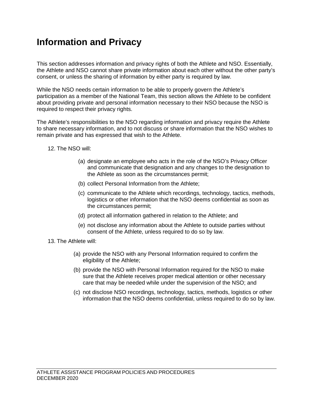## <span id="page-63-0"></span>**Information and Privacy**

This section addresses information and privacy rights of both the Athlete and NSO. Essentially, the Athlete and NSO cannot share private information about each other without the other party's consent, or unless the sharing of information by either party is required by law.

While the NSO needs certain information to be able to properly govern the Athlete's participation as a member of the National Team, this section allows the Athlete to be confident about providing private and personal information necessary to their NSO because the NSO is required to respect their privacy rights.

The Athlete's responsibilities to the NSO regarding information and privacy require the Athlete to share necessary information, and to not discuss or share information that the NSO wishes to remain private and has expressed that wish to the Athlete.

#### 12. The NSO will:

- (a) designate an employee who acts in the role of the NSO's Privacy Officer and communicate that designation and any changes to the designation to the Athlete as soon as the circumstances permit;
- (b) collect Personal Information from the Athlete;
- (c) communicate to the Athlete which recordings, technology, tactics, methods, logistics or other information that the NSO deems confidential as soon as the circumstances permit;
- (d) protect all information gathered in relation to the Athlete; and
- (e) not disclose any information about the Athlete to outside parties without consent of the Athlete, unless required to do so by law.
- 13. The Athlete will:
	- (a) provide the NSO with any Personal Information required to confirm the eligibility of the Athlete;
	- (b) provide the NSO with Personal Information required for the NSO to make sure that the Athlete receives proper medical attention or other necessary care that may be needed while under the supervision of the NSO; and
	- (c) not disclose NSO recordings, technology, tactics, methods, logistics or other information that the NSO deems confidential, unless required to do so by law.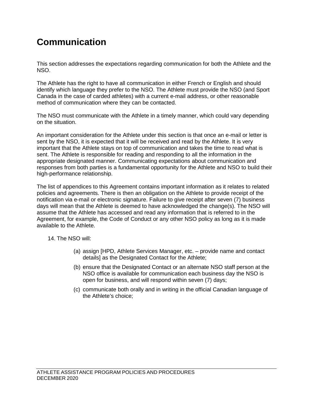# <span id="page-64-0"></span>**Communication**

This section addresses the expectations regarding communication for both the Athlete and the NSO.

The Athlete has the right to have all communication in either French or English and should identify which language they prefer to the NSO. The Athlete must provide the NSO (and Sport Canada in the case of carded athletes) with a current e-mail address, or other reasonable method of communication where they can be contacted.

The NSO must communicate with the Athlete in a timely manner, which could vary depending on the situation.

An important consideration for the Athlete under this section is that once an e-mail or letter is sent by the NSO, it is expected that it will be received and read by the Athlete. It is very important that the Athlete stays on top of communication and takes the time to read what is sent. The Athlete is responsible for reading and responding to all the information in the appropriate designated manner. Communicating expectations about communication and responses from both parties is a fundamental opportunity for the Athlete and NSO to build their high-performance relationship.

The list of appendices to this Agreement contains important information as it relates to related policies and agreements. There is then an obligation on the Athlete to provide receipt of the notification via e-mail or electronic signature. Failure to give receipt after seven (7) business days will mean that the Athlete is deemed to have acknowledged the change(s). The NSO will assume that the Athlete has accessed and read any information that is referred to in the Agreement, for example, the Code of Conduct or any other NSO policy as long as it is made available to the Athlete.

14. The NSO will:

- (a) assign [HPD, Athlete Services Manager, etc. provide name and contact details] as the Designated Contact for the Athlete;
- (b) ensure that the Designated Contact or an alternate NSO staff person at the NSO office is available for communication each business day the NSO is open for business, and will respond within seven (7) days;
- (c) communicate both orally and in writing in the official Canadian language of the Athlete's choice;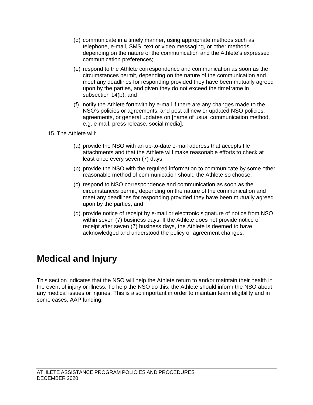- (d) communicate in a timely manner, using appropriate methods such as telephone, e-mail, SMS, text or video messaging, or other methods depending on the nature of the communication and the Athlete's expressed communication preferences;
- (e) respond to the Athlete correspondence and communication as soon as the circumstances permit, depending on the nature of the communication and meet any deadlines for responding provided they have been mutually agreed upon by the parties, and given they do not exceed the timeframe in subsection 14(b); and
- (f) notify the Athlete forthwith by e-mail if there are any changes made to the NSO's policies or agreements, and post all new or updated NSO policies, agreements, or general updates on [name of usual communication method, e.g. e-mail, press release, social media].
- 15. The Athlete will:
	- (a) provide the NSO with an up-to-date e-mail address that accepts file attachments and that the Athlete will make reasonable efforts to check at least once every seven (7) days;
	- (b) provide the NSO with the required information to communicate by some other reasonable method of communication should the Athlete so choose;
	- (c) respond to NSO correspondence and communication as soon as the circumstances permit, depending on the nature of the communication and meet any deadlines for responding provided they have been mutually agreed upon by the parties; and
	- (d) provide notice of receipt by e-mail or electronic signature of notice from NSO within seven (7) business days. If the Athlete does not provide notice of receipt after seven (7) business days, the Athlete is deemed to have acknowledged and understood the policy or agreement changes.

# <span id="page-65-0"></span>**Medical and Injury**

This section indicates that the NSO will help the Athlete return to and/or maintain their health in the event of injury or illness. To help the NSO do this, the Athlete should inform the NSO about any medical issues or injuries. This is also important in order to maintain team eligibility and in some cases, AAP funding.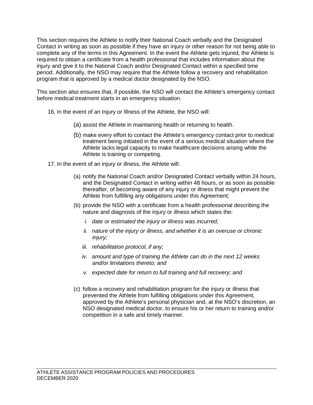This section requires the Athlete to notify their National Coach verbally and the Designated Contact in writing as soon as possible if they have an injury or other reason for not being able to complete any of the terms in this Agreement. In the event the Athlete gets injured, the Athlete is required to obtain a certificate from a health professional that includes information about the injury and give it to the National Coach and/or Designated Contact within a specified time period. Additionally, the NSO may require that the Athlete follow a recovery and rehabilitation program that is approved by a medical doctor designated by the NSO.

This section also ensures that, if possible, the NSO will contact the Athlete's emergency contact before medical treatment starts in an emergency situation.

- 16. In the event of an Injury or Illness of the Athlete, the NSO will:
	- (a) assist the Athlete in maintaining health or returning to health.
	- (b) make every effort to contact the Athlete's emergency contact prior to medical treatment being initiated in the event of a serious medical situation where the Athlete lacks legal capacity to make healthcare decisions arising while the Athlete is training or competing.
- 17. In the event of an injury or illness, the Athlete will:
	- (a) notify the National Coach and/or Designated Contact verbally within 24 hours, and the Designated Contact in writing within 48 hours, or as soon as possible thereafter, of becoming aware of any injury or illness that might prevent the Athlete from fulfilling any obligations under this Agreement;
	- (b) provide the NSO with a certificate from a health professional describing the nature and diagnosis of the injury or illness which states the:
		- *i. date or estimated the injury or illness was incurred;*
		- *ii. nature of the injury or illness, and whether it is an overuse or chronic injury;*
		- *iii. rehabilitation protocol, if any;*
		- *iv. amount and type of training the Athlete can do in the next 12 weeks and/or limitations thereto; and*
		- *v. expected date for return to full training and full recovery; and*
	- (c) follow a recovery and rehabilitation program for the injury or illness that prevented the Athlete from fulfilling obligations under this Agreement, approved by the Athlete's personal physician and, at the NSO's discretion, an NSO designated medical doctor, to ensure his or her return to training and/or competition in a safe and timely manner.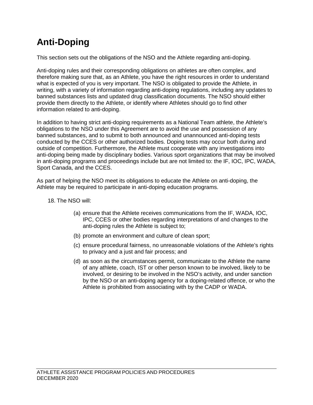# <span id="page-67-0"></span>**Anti-Doping**

This section sets out the obligations of the NSO and the Athlete regarding anti-doping.

Anti-doping rules and their corresponding obligations on athletes are often complex, and therefore making sure that, as an Athlete, you have the right resources in order to understand what is expected of you is very important. The NSO is obligated to provide the Athlete, in writing, with a variety of information regarding anti-doping regulations, including any updates to banned substances lists and updated drug classification documents. The NSO should either provide them directly to the Athlete, or identify where Athletes should go to find other information related to anti-doping.

In addition to having strict anti-doping requirements as a National Team athlete, the Athlete's obligations to the NSO under this Agreement are to avoid the use and possession of any banned substances, and to submit to both announced and unannounced anti-doping tests conducted by the CCES or other authorized bodies. Doping tests may occur both during and outside of competition. Furthermore, the Athlete must cooperate with any investigations into anti-doping being made by disciplinary bodies. Various sport organizations that may be involved in anti-doping programs and proceedings include but are not limited to: the IF, IOC, IPC, WADA, Sport Canada, and the CCES.

As part of helping the NSO meet its obligations to educate the Athlete on anti-doping, the Athlete may be required to participate in anti-doping education programs.

- 18. The NSO will:
	- (a) ensure that the Athlete receives communications from the IF, WADA, IOC, IPC, CCES or other bodies regarding interpretations of and changes to the anti-doping rules the Athlete is subject to;
	- (b) promote an environment and culture of clean sport;
	- (c) ensure procedural fairness, no unreasonable violations of the Athlete's rights to privacy and a just and fair process; and
	- (d) as soon as the circumstances permit, communicate to the Athlete the name of any athlete, coach, IST or other person known to be involved, likely to be involved, or desiring to be involved in the NSO's activity, and under sanction by the NSO or an anti-doping agency for a doping-related offence, or who the Athlete is prohibited from associating with by the CADP or WADA.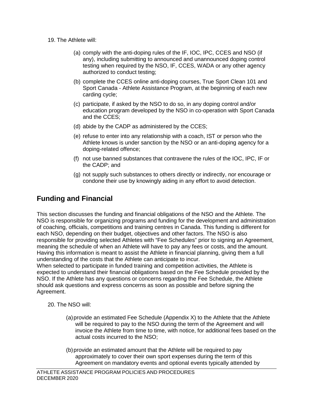- 19. The Athlete will:
	- (a) comply with the anti-doping rules of the IF, IOC, IPC, CCES and NSO (if any), including submitting to announced and unannounced doping control testing when required by the NSO, IF, CCES, WADA or any other agency authorized to conduct testing;
	- (b) complete the CCES online anti-doping courses, True Sport Clean 101 and Sport Canada - Athlete Assistance Program, at the beginning of each new carding cycle;
	- (c) participate, if asked by the NSO to do so, in any doping control and/or education program developed by the NSO in co-operation with Sport Canada and the CCES;
	- (d) abide by the CADP as administered by the CCES;
	- (e) refuse to enter into any relationship with a coach, IST or person who the Athlete knows is under sanction by the NSO or an anti-doping agency for a doping-related offence;
	- (f) not use banned substances that contravene the rules of the IOC, IPC, IF or the CADP; and
	- (g) not supply such substances to others directly or indirectly, nor encourage or condone their use by knowingly aiding in any effort to avoid detection.

### <span id="page-68-0"></span>**Funding and Financial**

This section discusses the funding and financial obligations of the NSO and the Athlete. The NSO is responsible for organizing programs and funding for the development and administration of coaching, officials, competitions and training centres in Canada. This funding is different for each NSO, depending on their budget, objectives and other factors. The NSO is also responsible for providing selected Athletes with "Fee Schedules" prior to signing an Agreement, meaning the schedule of when an Athlete will have to pay any fees or costs, and the amount. Having this information is meant to assist the Athlete in financial planning, giving them a full understanding of the costs that the Athlete can anticipate to incur.

When selected to participate in funded training and competition activities, the Athlete is expected to understand their financial obligations based on the Fee Schedule provided by the NSO. If the Athlete has any questions or concerns regarding the Fee Schedule, the Athlete should ask questions and express concerns as soon as possible and before signing the Agreement.

- 20. The NSO will:
	- (a) provide an estimated Fee Schedule (Appendix X) to the Athlete that the Athlete will be required to pay to the NSO during the term of the Agreement and will invoice the Athlete from time to time, with notice, for additional fees based on the actual costs incurred to the NSO;
	- (b) provide an estimated amount that the Athlete will be required to pay approximately to cover their own sport expenses during the term of this Agreement on mandatory events and optional events typically attended by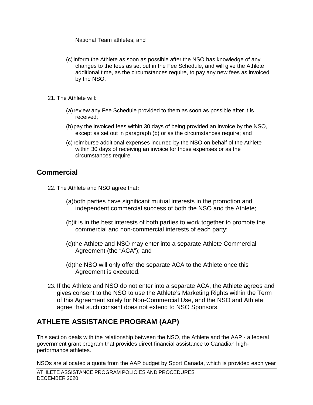<span id="page-69-1"></span>National Team athletes; and

- (c) inform the Athlete as soon as possible after the NSO has knowledge of any changes to the fees as set out in the Fee Schedule, and will give the Athlete additional time, as the circumstances require, to pay any new fees as invoiced by the NSO.
- 21. The Athlete will:
	- (a) review any Fee Schedule provided to them as soon as possible after it is received;
	- (b) pay the invoiced fees within 30 days of being provided an invoice by the NSO, except as set out in paragraph [\(b\)](#page-69-1) or as the circumstances require; and
	- (c) reimburse additional expenses incurred by the NSO on behalf of the Athlete within 30 days of receiving an invoice for those expenses or as the circumstances require.

### <span id="page-69-0"></span>**Commercial**

- 22. The Athlete and NSO agree that**:** 
	- (a)both parties have significant mutual interests in the promotion and independent commercial success of both the NSO and the Athlete;
	- (b)it is in the best interests of both parties to work together to promote the commercial and non-commercial interests of each party;
	- (c) the Athlete and NSO may enter into a separate Athlete Commercial Agreement (the "ACA"); and
	- (d)the NSO will only offer the separate ACA to the Athlete once this Agreement is executed.
- 23. If the Athlete and NSO do not enter into a separate ACA, the Athlete agrees and gives consent to the NSO to use the Athlete's Marketing Rights within the Term of this Agreement solely for Non-Commercial Use, and the NSO and Athlete agree that such consent does not extend to NSO Sponsors.

### **ATHLETE ASSISTANCE PROGRAM (AAP)**

This section deals with the relationship between the NSO, the Athlete and the AAP - a federal government grant program that provides direct financial assistance to Canadian highperformance athletes.

NSOs are allocated a quota from the AAP budget by Sport Canada, which is provided each year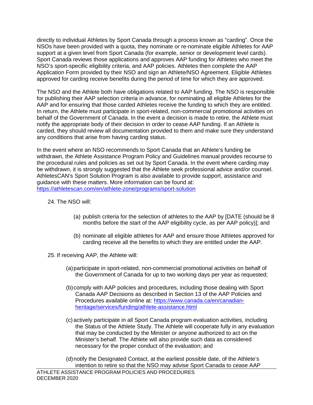directly to individual Athletes by Sport Canada through a process known as "carding". Once the NSOs have been provided with a quota, they nominate or re-nominate eligible Athletes for AAP support at a given level from Sport Canada (for example, senior or development level cards). Sport Canada reviews those applications and approves AAP funding for Athletes who meet the NSO's sport-specific eligibility criteria, and AAP policies. Athletes then complete the AAP Application Form provided by their NSO and sign an Athlete/NSO Agreement. Eligible Athletes approved for carding receive benefits during the period of time for which they are approved.

The NSO and the Athlete both have obligations related to AAP funding. The NSO is responsible for publishing their AAP selection criteria in advance, for nominating all eligible Athletes for the AAP and for ensuring that those carded Athletes receive the funding to which they are entitled. In return, the Athlete must participate in sport-related, non-commercial promotional activities on behalf of the Government of Canada. In the event a decision is made to retire, the Athlete must notify the appropriate body of their decision in order to cease AAP funding. If an Athlete is carded, they should review all documentation provided to them and make sure they understand any conditions that arise from having carding status.

In the event where an NSO recommends to Sport Canada that an Athlete's funding be withdrawn, the Athlete Assistance Program Policy and Guidelines manual provides recourse to the procedural rules and policies as set out by Sport Canada. In the event where carding may be withdrawn, it is strongly suggested that the Athlete seek professional advice and/or counsel. AthletesCAN's Sport Solution Program is also available to provide support, assistance and guidance with these matters. More information can be found at: [https://athletescan.com/en/athlete-zone/programs/sport-solution](http://athletescan.com/the-sports-solution/)

- 24. The NSO will:
	- (a) publish criteria for the selection of athletes to the AAP by [DATE (should be 8 months before the start of the AAP eligibility cycle, as per AAP policy)]; and
	- (b) nominate all eligible athletes for AAP and ensure those Athletes approved for carding receive all the benefits to which they are entitled under the AAP.
- 25. If receiving AAP, the Athlete will:
	- (a) participate in sport-related, non-commercial promotional activities on behalf of the Government of Canada for up to two working days per year as requested;
	- (b) comply with AAP policies and procedures, including those dealing with Sport Canada AAP Decisions as described in Section 13 of the AAP Policies and Procedures available online at: [https://www.canada.ca/en/canadian](https://www.canada.ca/en/canadian-heritage/services/funding/athlete-assistance.html)[heritage/services/funding/athlete-assistance.html](https://www.canada.ca/en/canadian-heritage/services/funding/athlete-assistance.html)
	- (c) actively participate in all Sport Canada program evaluation activities, including the Status of the Athlete Study. The Athlete will cooperate fully in any evaluation that may be conducted by the Minister or anyone authorized to act on the Minister's behalf. The Athlete will also provide such data as considered necessary for the proper conduct of the evaluation; and
	- (d) notify the Designated Contact, at the earliest possible date, of the Athlete's intention to retire so that the NSO may advise Sport Canada to cease AAP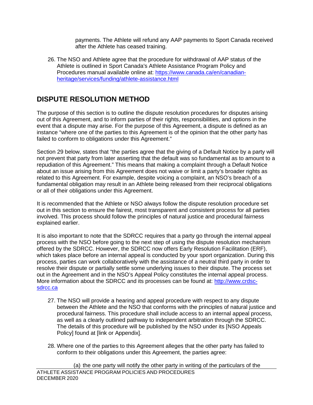payments. The Athlete will refund any AAP payments to Sport Canada received after the Athlete has ceased training.

26. The NSO and Athlete agree that the procedure for withdrawal of AAP status of the Athlete is outlined in Sport Canada's Athlete Assistance Program Policy and Procedures manual available online at: [https://www.canada.ca/en/canadian](https://www.canada.ca/en/canadian-heritage/services/funding/athlete-assistance.html)[heritage/services/funding/athlete-assistance.html](https://www.canada.ca/en/canadian-heritage/services/funding/athlete-assistance.html) 

### <span id="page-71-0"></span>**DISPUTE RESOLUTION METHOD**

The purpose of this section is to outline the dispute resolution procedures for disputes arising out of this Agreement, and to inform parties of their rights, responsibilities, and options in the event that a dispute may arise. For the purpose of this Agreement, a dispute is defined as an instance "where one of the parties to this Agreement is of the opinion that the other party has failed to conform to obligations under this Agreement."

Section 29 below, states that "the parties agree that the giving of a Default Notice by a party will not prevent that party from later asserting that the default was so fundamental as to amount to a repudiation of this Agreement." This means that making a complaint through a Default Notice about an issue arising from this Agreement does not waive or limit a party's broader rights as related to this Agreement. For example, despite voicing a complaint, an NSO's breach of a fundamental obligation may result in an Athlete being released from their reciprocal obligations or all of their obligations under this Agreement.

It is recommended that the Athlete or NSO always follow the dispute resolution procedure set out in this section to ensure the fairest, most transparent and consistent process for all parties involved. This process should follow the principles of natural justice and procedural fairness explained earlier.

It is also important to note that the SDRCC requires that a party go through the internal appeal process with the NSO before going to the next step of using the dispute resolution mechanism offered by the SDRCC. However, the SDRCC now offers Early Resolution Facilitation (ERF), which takes place before an internal appeal is conducted by your sport organization. During this process, parties can work collaboratively with the assistance of a neutral third party in order to resolve their dispute or partially settle some underlying issues to their dispute. The process set out in the Agreement and in the NSO's Appeal Policy constitutes the internal appeal process. More information about the SDRCC and its processes can be found at: [http://www.crdsc](http://www.crdsc-sdrcc.ca/)[sdrcc.ca](http://www.crdsc-sdrcc.ca/)

- 27. The NSO will provide a hearing and appeal procedure with respect to any dispute between the Athlete and the NSO that conforms with the principles of natural justice and procedural fairness. This procedure shall include access to an internal appeal process, as well as a clearly outlined pathway to independent arbitration through the SDRCC. The details of this procedure will be published by the NSO under its [NSO Appeals Policy] found at [link or Appendix].
- 28. Where one of the parties to this Agreement alleges that the other party has failed to conform to their obligations under this Agreement, the parties agree: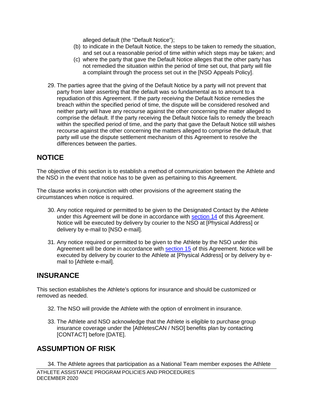alleged default (the "Default Notice");

- (b) to indicate in the Default Notice, the steps to be taken to remedy the situation, and set out a reasonable period of time within which steps may be taken; and
- (c) where the party that gave the Default Notice alleges that the other party has not remedied the situation within the period of time set out, that party will file a complaint through the process set out in the [NSO Appeals Policy].
- 29. The parties agree that the giving of the Default Notice by a party will not prevent that party from later asserting that the default was so fundamental as to amount to a repudiation of this Agreement. If the party receiving the Default Notice remedies the breach within the specified period of time, the dispute will be considered resolved and neither party will have any recourse against the other concerning the matter alleged to comprise the default. If the party receiving the Default Notice fails to remedy the breach within the specified period of time, and the party that gave the Default Notice still wishes recourse against the other concerning the matters alleged to comprise the default, that party will use the dispute settlement mechanism of this Agreement to resolve the differences between the parties.

## **NOTICE**

The objective of this section is to establish a method of communication between the Athlete and the NSO in the event that notice has to be given as pertaining to this Agreement.

The clause works in conjunction with other provisions of the agreement stating the circumstances when notice is required.

- 30. Any notice required or permitted to be given to the Designated Contact by the Athlete under this Agreement will be done in accordance with [section 14](#page-64-0) of this Agreement. Notice will be executed by delivery by courier to the NSO at [Physical Address] or delivery by e-mail to [NSO e-mail].
- 31. Any notice required or permitted to be given to the Athlete by the NSO under this Agreement will be done in accordance with [section 15](#page-65-0) of this Agreement. Notice will be executed by delivery by courier to the Athlete at [Physical Address] or by delivery by email to [Athlete e-mail].

### **INSURANCE**

This section establishes the Athlete's options for insurance and should be customized or removed as needed.

- 32. The NSO will provide the Athlete with the option of enrolment in insurance.
- 33. The Athlete and NSO acknowledge that the Athlete is eligible to purchase group insurance coverage under the [AthletesCAN / NSO] benefits plan by contacting [CONTACT] before [DATE].

# **ASSUMPTION OF RISK**

ATHLETE ASSISTANCE PROGRAM POLICIES AND PROCEDURES DECEMBER 2020 34. The Athlete agrees that participation as a National Team member exposes the Athlete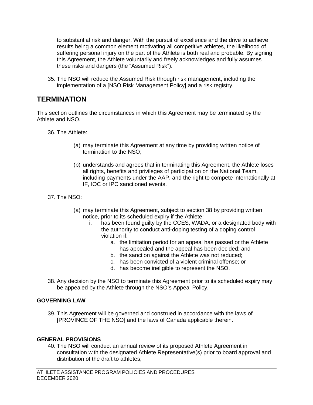to substantial risk and danger. With the pursuit of excellence and the drive to achieve results being a common element motivating all competitive athletes, the likelihood of suffering personal injury on the part of the Athlete is both real and probable. By signing this Agreement, the Athlete voluntarily and freely acknowledges and fully assumes these risks and dangers (the "Assumed Risk").

35. The NSO will reduce the Assumed Risk through risk management, including the implementation of a [NSO Risk Management Policy] and a risk registry.

### **TERMINATION**

This section outlines the circumstances in which this Agreement may be terminated by the Athlete and NSO.

36. The Athlete:

- (a) may terminate this Agreement at any time by providing written notice of termination to the NSO;
- (b) understands and agrees that in terminating this Agreement, the Athlete loses all rights, benefits and privileges of participation on the National Team, including payments under the AAP, and the right to compete internationally at IF, IOC or IPC sanctioned events.
- 37. The NSO:
	- (a) may terminate this Agreement, subject to section 38 by providing written notice, prior to its scheduled expiry if the Athlete:
		- i. has been found guilty by the CCES, WADA, or a designated body with the authority to conduct anti-doping testing of a doping control violation if:
			- a. the limitation period for an appeal has passed or the Athlete has appealed and the appeal has been decided; and
			- b. the sanction against the Athlete was not reduced;
			- c. has been convicted of a violent criminal offense; or
			- d. has become ineligible to represent the NSO.
- 38. Any decision by the NSO to terminate this Agreement prior to its scheduled expiry may be appealed by the Athlete through the NSO's Appeal Policy.

#### **GOVERNING LAW**

39. This Agreement will be governed and construed in accordance with the laws of [PROVINCE OF THE NSO] and the laws of Canada applicable therein.

#### **GENERAL PROVISIONS**

40. The NSO will conduct an annual review of its proposed Athlete Agreement in consultation with the designated Athlete Representative(s) prior to board approval and distribution of the draft to athletes;